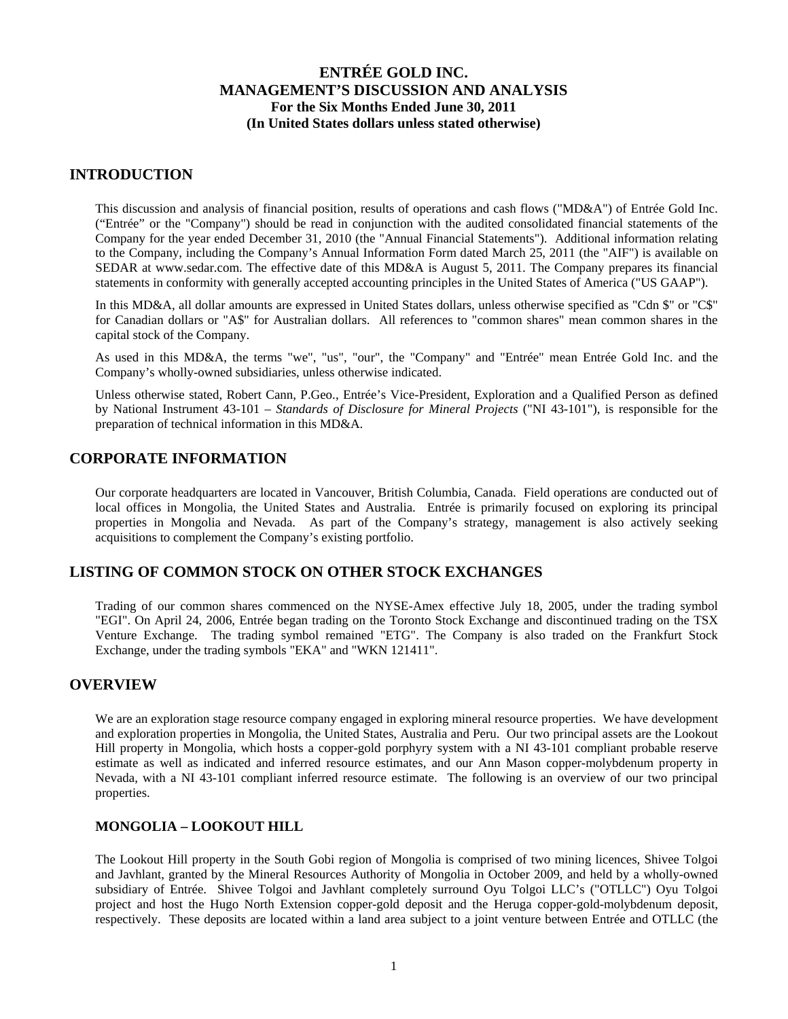### **INTRODUCTION**

This discussion and analysis of financial position, results of operations and cash flows ("MD&A") of Entrée Gold Inc. ("Entrée" or the "Company") should be read in conjunction with the audited consolidated financial statements of the Company for the year ended December 31, 2010 (the "Annual Financial Statements"). Additional information relating to the Company, including the Company's Annual Information Form dated March 25, 2011 (the "AIF") is available on SEDAR at www.sedar.com. The effective date of this MD&A is August 5, 2011. The Company prepares its financial statements in conformity with generally accepted accounting principles in the United States of America ("US GAAP").

In this MD&A, all dollar amounts are expressed in United States dollars, unless otherwise specified as "Cdn \$" or "C\$" for Canadian dollars or "A\$" for Australian dollars. All references to "common shares" mean common shares in the capital stock of the Company.

As used in this MD&A, the terms "we", "us", "our", the "Company" and "Entrée" mean Entrée Gold Inc. and the Company's wholly-owned subsidiaries, unless otherwise indicated.

Unless otherwise stated, Robert Cann, P.Geo., Entrée's Vice-President, Exploration and a Qualified Person as defined by National Instrument 43-101 – *Standards of Disclosure for Mineral Projects* ("NI 43-101"), is responsible for the preparation of technical information in this MD&A.

# **CORPORATE INFORMATION**

Our corporate headquarters are located in Vancouver, British Columbia, Canada. Field operations are conducted out of local offices in Mongolia, the United States and Australia. Entrée is primarily focused on exploring its principal properties in Mongolia and Nevada. As part of the Company's strategy, management is also actively seeking acquisitions to complement the Company's existing portfolio.

## **LISTING OF COMMON STOCK ON OTHER STOCK EXCHANGES**

Trading of our common shares commenced on the NYSE-Amex effective July 18, 2005, under the trading symbol "EGI". On April 24, 2006, Entrée began trading on the Toronto Stock Exchange and discontinued trading on the TSX Venture Exchange. The trading symbol remained "ETG". The Company is also traded on the Frankfurt Stock Exchange, under the trading symbols "EKA" and "WKN 121411".

### **OVERVIEW**

We are an exploration stage resource company engaged in exploring mineral resource properties. We have development and exploration properties in Mongolia, the United States, Australia and Peru. Our two principal assets are the Lookout Hill property in Mongolia, which hosts a copper-gold porphyry system with a NI 43-101 compliant probable reserve estimate as well as indicated and inferred resource estimates, and our Ann Mason copper-molybdenum property in Nevada, with a NI 43-101 compliant inferred resource estimate. The following is an overview of our two principal properties.

### **MONGOLIA – LOOKOUT HILL**

The Lookout Hill property in the South Gobi region of Mongolia is comprised of two mining licences, Shivee Tolgoi and Javhlant, granted by the Mineral Resources Authority of Mongolia in October 2009, and held by a wholly-owned subsidiary of Entrée. Shivee Tolgoi and Javhlant completely surround Oyu Tolgoi LLC's ("OTLLC") Oyu Tolgoi project and host the Hugo North Extension copper-gold deposit and the Heruga copper-gold-molybdenum deposit, respectively. These deposits are located within a land area subject to a joint venture between Entrée and OTLLC (the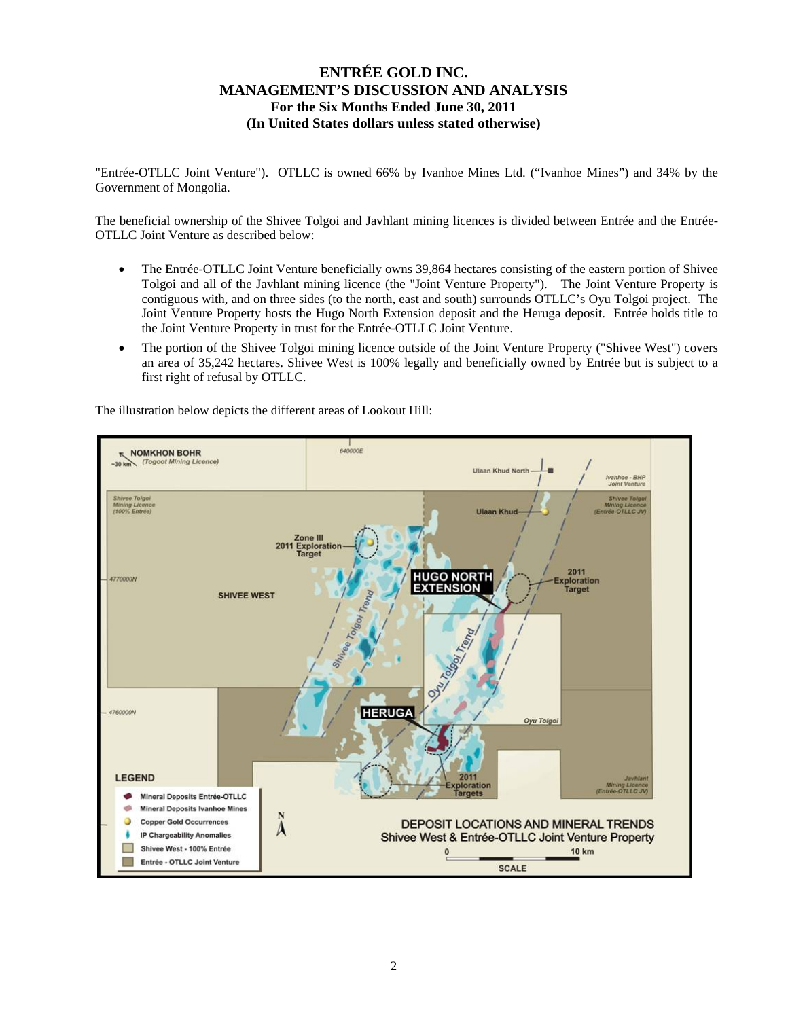"Entrée-OTLLC Joint Venture"). OTLLC is owned 66% by Ivanhoe Mines Ltd. ("Ivanhoe Mines") and 34% by the Government of Mongolia.

The beneficial ownership of the Shivee Tolgoi and Javhlant mining licences is divided between Entrée and the Entrée-OTLLC Joint Venture as described below:

- The Entrée-OTLLC Joint Venture beneficially owns 39,864 hectares consisting of the eastern portion of Shivee Tolgoi and all of the Javhlant mining licence (the "Joint Venture Property"). The Joint Venture Property is contiguous with, and on three sides (to the north, east and south) surrounds OTLLC's Oyu Tolgoi project. The Joint Venture Property hosts the Hugo North Extension deposit and the Heruga deposit. Entrée holds title to the Joint Venture Property in trust for the Entrée-OTLLC Joint Venture.
- The portion of the Shivee Tolgoi mining licence outside of the Joint Venture Property ("Shivee West") covers an area of 35,242 hectares. Shivee West is 100% legally and beneficially owned by Entrée but is subject to a first right of refusal by OTLLC.

 $|$ 640000E **NOMKHON BOHR**  $-30 km$  (Togoot **Ulaan Khud North** Ivanhoe - BHP<br>Joint Venture **Shivee Tolgo**<br>fining Licence<br><del>ée</del>-OTLLC JV Shivee Tolgoi<br>Mining Licenc<br>(100% Entrée) **Ulaan Khud** Zone III **Exploration**<br>Target 2011 2011 **HUGO NORTH** 4770000N ploration **EXTENSION Target SHIVEE WEST** 4760000N **HERUGA** Oyu Tolgoi **LEGEND** ploration Mineral Deposits Entrée-OTLLC **Mineral Deposits Ivanhoe Mines Copper Gold Occurrences** DEPOSIT LOCATIONS AND MINERAL TRENDS A **IP Chargeability Anomalies** Shivee West & Entrée-OTLLC Joint Venture Property Shivee West - 100% Entrée  $\blacksquare$  $\overline{0}$ **10 km**  $\equiv$ Entrée - OTLLC Joint Venture **SCALE** 

The illustration below depicts the different areas of Lookout Hill: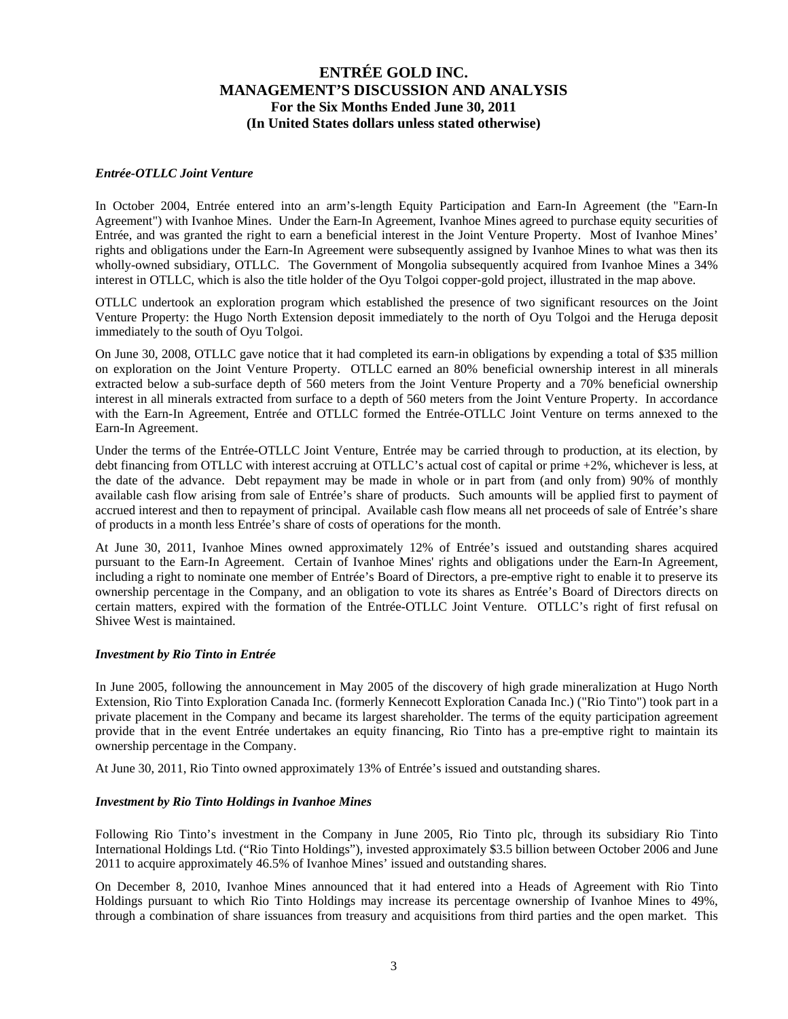#### *Entrée-OTLLC Joint Venture*

In October 2004, Entrée entered into an arm's-length Equity Participation and Earn-In Agreement (the "Earn-In Agreement") with Ivanhoe Mines. Under the Earn-In Agreement, Ivanhoe Mines agreed to purchase equity securities of Entrée, and was granted the right to earn a beneficial interest in the Joint Venture Property. Most of Ivanhoe Mines' rights and obligations under the Earn-In Agreement were subsequently assigned by Ivanhoe Mines to what was then its wholly-owned subsidiary, OTLLC. The Government of Mongolia subsequently acquired from Ivanhoe Mines a 34% interest in OTLLC, which is also the title holder of the Oyu Tolgoi copper-gold project, illustrated in the map above.

OTLLC undertook an exploration program which established the presence of two significant resources on the Joint Venture Property: the Hugo North Extension deposit immediately to the north of Oyu Tolgoi and the Heruga deposit immediately to the south of Oyu Tolgoi.

On June 30, 2008, OTLLC gave notice that it had completed its earn-in obligations by expending a total of \$35 million on exploration on the Joint Venture Property. OTLLC earned an 80% beneficial ownership interest in all minerals extracted below a sub-surface depth of 560 meters from the Joint Venture Property and a 70% beneficial ownership interest in all minerals extracted from surface to a depth of 560 meters from the Joint Venture Property. In accordance with the Earn-In Agreement, Entrée and OTLLC formed the Entrée-OTLLC Joint Venture on terms annexed to the Earn-In Agreement.

Under the terms of the Entrée-OTLLC Joint Venture, Entrée may be carried through to production, at its election, by debt financing from OTLLC with interest accruing at OTLLC's actual cost of capital or prime +2%, whichever is less, at the date of the advance. Debt repayment may be made in whole or in part from (and only from) 90% of monthly available cash flow arising from sale of Entrée's share of products. Such amounts will be applied first to payment of accrued interest and then to repayment of principal. Available cash flow means all net proceeds of sale of Entrée's share of products in a month less Entrée's share of costs of operations for the month.

At June 30, 2011, Ivanhoe Mines owned approximately 12% of Entrée's issued and outstanding shares acquired pursuant to the Earn-In Agreement. Certain of Ivanhoe Mines' rights and obligations under the Earn-In Agreement, including a right to nominate one member of Entrée's Board of Directors, a pre-emptive right to enable it to preserve its ownership percentage in the Company, and an obligation to vote its shares as Entrée's Board of Directors directs on certain matters, expired with the formation of the Entrée-OTLLC Joint Venture. OTLLC's right of first refusal on Shivee West is maintained.

#### *Investment by Rio Tinto in Entrée*

In June 2005, following the announcement in May 2005 of the discovery of high grade mineralization at Hugo North Extension, Rio Tinto Exploration Canada Inc. (formerly Kennecott Exploration Canada Inc.) ("Rio Tinto") took part in a private placement in the Company and became its largest shareholder. The terms of the equity participation agreement provide that in the event Entrée undertakes an equity financing, Rio Tinto has a pre-emptive right to maintain its ownership percentage in the Company.

At June 30, 2011, Rio Tinto owned approximately 13% of Entrée's issued and outstanding shares.

#### *Investment by Rio Tinto Holdings in Ivanhoe Mines*

Following Rio Tinto's investment in the Company in June 2005, Rio Tinto plc, through its subsidiary Rio Tinto International Holdings Ltd. ("Rio Tinto Holdings"), invested approximately \$3.5 billion between October 2006 and June 2011 to acquire approximately 46.5% of Ivanhoe Mines' issued and outstanding shares.

On December 8, 2010, Ivanhoe Mines announced that it had entered into a Heads of Agreement with Rio Tinto Holdings pursuant to which Rio Tinto Holdings may increase its percentage ownership of Ivanhoe Mines to 49%, through a combination of share issuances from treasury and acquisitions from third parties and the open market. This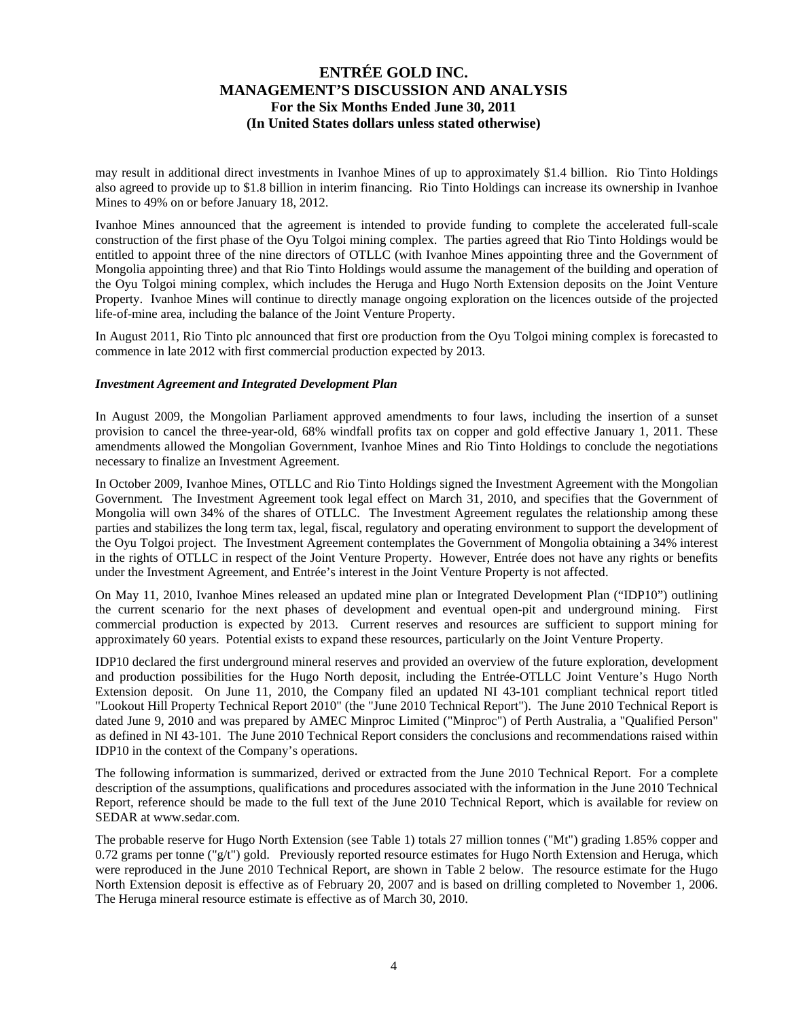may result in additional direct investments in Ivanhoe Mines of up to approximately \$1.4 billion. Rio Tinto Holdings also agreed to provide up to \$1.8 billion in interim financing. Rio Tinto Holdings can increase its ownership in Ivanhoe Mines to 49% on or before January 18, 2012.

Ivanhoe Mines announced that the agreement is intended to provide funding to complete the accelerated full-scale construction of the first phase of the Oyu Tolgoi mining complex. The parties agreed that Rio Tinto Holdings would be entitled to appoint three of the nine directors of OTLLC (with Ivanhoe Mines appointing three and the Government of Mongolia appointing three) and that Rio Tinto Holdings would assume the management of the building and operation of the Oyu Tolgoi mining complex, which includes the Heruga and Hugo North Extension deposits on the Joint Venture Property. Ivanhoe Mines will continue to directly manage ongoing exploration on the licences outside of the projected life-of-mine area, including the balance of the Joint Venture Property.

In August 2011, Rio Tinto plc announced that first ore production from the Oyu Tolgoi mining complex is forecasted to commence in late 2012 with first commercial production expected by 2013.

#### *Investment Agreement and Integrated Development Plan*

In August 2009, the Mongolian Parliament approved amendments to four laws, including the insertion of a sunset provision to cancel the three-year-old, 68% windfall profits tax on copper and gold effective January 1, 2011. These amendments allowed the Mongolian Government, Ivanhoe Mines and Rio Tinto Holdings to conclude the negotiations necessary to finalize an Investment Agreement.

In October 2009, Ivanhoe Mines, OTLLC and Rio Tinto Holdings signed the Investment Agreement with the Mongolian Government. The Investment Agreement took legal effect on March 31, 2010, and specifies that the Government of Mongolia will own 34% of the shares of OTLLC. The Investment Agreement regulates the relationship among these parties and stabilizes the long term tax, legal, fiscal, regulatory and operating environment to support the development of the Oyu Tolgoi project. The Investment Agreement contemplates the Government of Mongolia obtaining a 34% interest in the rights of OTLLC in respect of the Joint Venture Property. However, Entrée does not have any rights or benefits under the Investment Agreement, and Entrée's interest in the Joint Venture Property is not affected.

On May 11, 2010, Ivanhoe Mines released an updated mine plan or Integrated Development Plan ("IDP10") outlining the current scenario for the next phases of development and eventual open-pit and underground mining. First commercial production is expected by 2013. Current reserves and resources are sufficient to support mining for approximately 60 years. Potential exists to expand these resources, particularly on the Joint Venture Property.

IDP10 declared the first underground mineral reserves and provided an overview of the future exploration, development and production possibilities for the Hugo North deposit, including the Entrée-OTLLC Joint Venture's Hugo North Extension deposit. On June 11, 2010, the Company filed an updated NI 43-101 compliant technical report titled "Lookout Hill Property Technical Report 2010" (the "June 2010 Technical Report"). The June 2010 Technical Report is dated June 9, 2010 and was prepared by AMEC Minproc Limited ("Minproc") of Perth Australia, a "Qualified Person" as defined in NI 43-101. The June 2010 Technical Report considers the conclusions and recommendations raised within IDP10 in the context of the Company's operations.

The following information is summarized, derived or extracted from the June 2010 Technical Report. For a complete description of the assumptions, qualifications and procedures associated with the information in the June 2010 Technical Report, reference should be made to the full text of the June 2010 Technical Report, which is available for review on SEDAR at www.sedar.com.

The probable reserve for Hugo North Extension (see Table 1) totals 27 million tonnes ("Mt") grading 1.85% copper and 0.72 grams per tonne  $(\nabla g/t)$  gold. Previously reported resource estimates for Hugo North Extension and Heruga, which were reproduced in the June 2010 Technical Report, are shown in Table 2 below. The resource estimate for the Hugo North Extension deposit is effective as of February 20, 2007 and is based on drilling completed to November 1, 2006. The Heruga mineral resource estimate is effective as of March 30, 2010.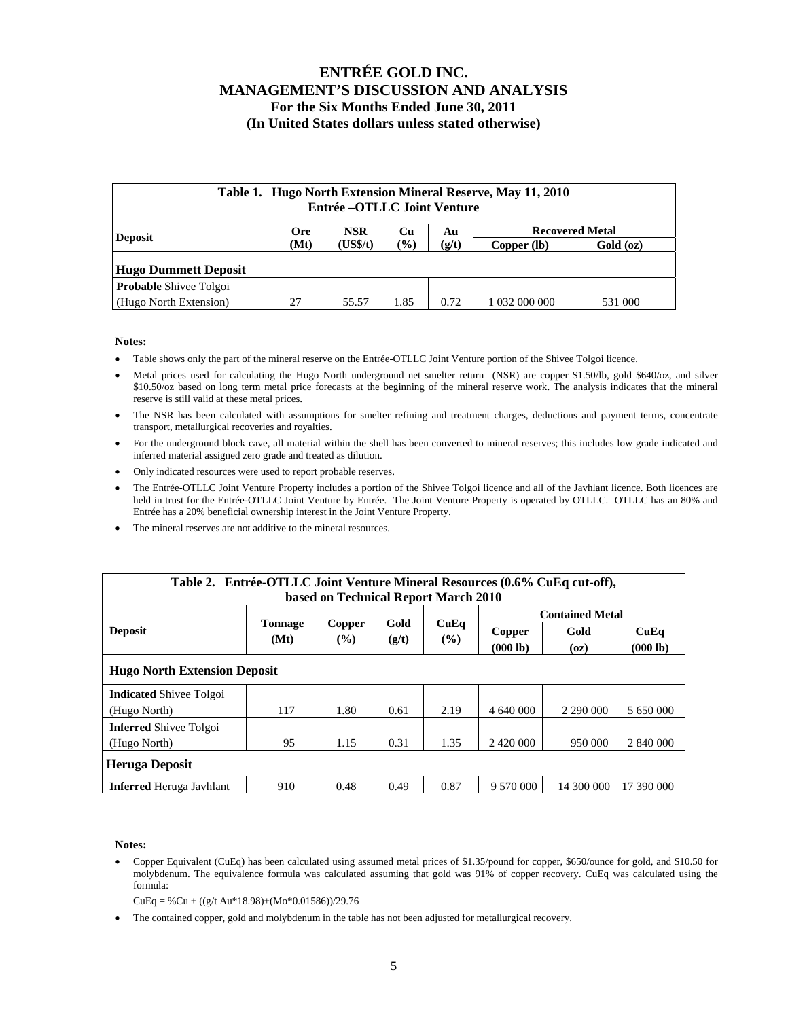| Table 1. Hugo North Extension Mineral Reserve, May 11, 2010<br>Entrée – OTLLC Joint Venture |                                                                |       |                        |      |               |           |  |  |  |
|---------------------------------------------------------------------------------------------|----------------------------------------------------------------|-------|------------------------|------|---------------|-----------|--|--|--|
| <b>Deposit</b>                                                                              | <b>NSR</b><br><b>Recovered Metal</b><br><b>Ore</b><br>Cп<br>Au |       |                        |      |               |           |  |  |  |
|                                                                                             | (US\$/t)<br>(Mt)                                               |       | $\frac{1}{2}$<br>(g/t) |      | Copper (lb)   | Gold (oz) |  |  |  |
| <b>Hugo Dummett Deposit</b>                                                                 |                                                                |       |                        |      |               |           |  |  |  |
| Probable Shivee Tolgoi                                                                      |                                                                |       |                        |      |               |           |  |  |  |
| (Hugo North Extension)                                                                      | 27                                                             | 55.57 | 1.85                   | 0.72 | 1 032 000 000 | 531 000   |  |  |  |

#### **Notes:**

- Table shows only the part of the mineral reserve on the Entrée-OTLLC Joint Venture portion of the Shivee Tolgoi licence.
- Metal prices used for calculating the Hugo North underground net smelter return (NSR) are copper \$1.50/lb, gold \$640/oz, and silver \$10.50/oz based on long term metal price forecasts at the beginning of the mineral reserve work. The analysis indicates that the mineral reserve is still valid at these metal prices.
- The NSR has been calculated with assumptions for smelter refining and treatment charges, deductions and payment terms, concentrate transport, metallurgical recoveries and royalties.
- For the underground block cave, all material within the shell has been converted to mineral reserves; this includes low grade indicated and inferred material assigned zero grade and treated as dilution.
- Only indicated resources were used to report probable reserves.
- The Entrée-OTLLC Joint Venture Property includes a portion of the Shivee Tolgoi licence and all of the Javhlant licence. Both licences are held in trust for the Entrée-OTLLC Joint Venture by Entrée. The Joint Venture Property is operated by OTLLC. OTLLC has an 80% and Entrée has a 20% beneficial ownership interest in the Joint Venture Property.
- The mineral reserves are not additive to the mineral resources.

| Table 2. Entrée-OTLLC Joint Venture Mineral Resources (0.6% CuEq cut-off), |                |        |       |             |           |                        |            |  |  |  |
|----------------------------------------------------------------------------|----------------|--------|-------|-------------|-----------|------------------------|------------|--|--|--|
| based on Technical Report March 2010                                       |                |        |       |             |           |                        |            |  |  |  |
|                                                                            |                |        |       | CuEq<br>(%) |           | <b>Contained Metal</b> |            |  |  |  |
| <b>Deposit</b>                                                             | <b>Tonnage</b> | Copper | Gold  |             | Copper    | Gold                   | CuEq       |  |  |  |
|                                                                            | (Mt)           | $($ %) | (g/t) |             | (000 lb)  | (oz)                   | (000 lb)   |  |  |  |
| <b>Hugo North Extension Deposit</b>                                        |                |        |       |             |           |                        |            |  |  |  |
| <b>Indicated Shivee Tolgoi</b>                                             |                |        |       |             |           |                        |            |  |  |  |
| (Hugo North)                                                               | 117            | 1.80   | 0.61  | 2.19        | 4 640 000 | 2 290 000              | 5 650 000  |  |  |  |
| <b>Inferred Shivee Tolgoi</b>                                              |                |        |       |             |           |                        |            |  |  |  |
| (Hugo North)                                                               | 95             | 1.15   | 0.31  | 1.35        |           | 950 000                | 2 840 000  |  |  |  |
| <b>Heruga Deposit</b>                                                      |                |        |       |             |           |                        |            |  |  |  |
| <b>Inferred</b> Heruga Javhlant                                            | 910            | 0.48   | 0.49  | 0.87        | 9 570 000 | 14 300 000             | 17 390 000 |  |  |  |

#### **Notes:**

 Copper Equivalent (CuEq) has been calculated using assumed metal prices of \$1.35/pound for copper, \$650/ounce for gold, and \$10.50 for molybdenum. The equivalence formula was calculated assuming that gold was 91% of copper recovery. CuEq was calculated using the formula:

 $CuEq = % Cu + ((g/t Au*18.98)+(Mo*0.01586))/29.76$ 

The contained copper, gold and molybdenum in the table has not been adjusted for metallurgical recovery.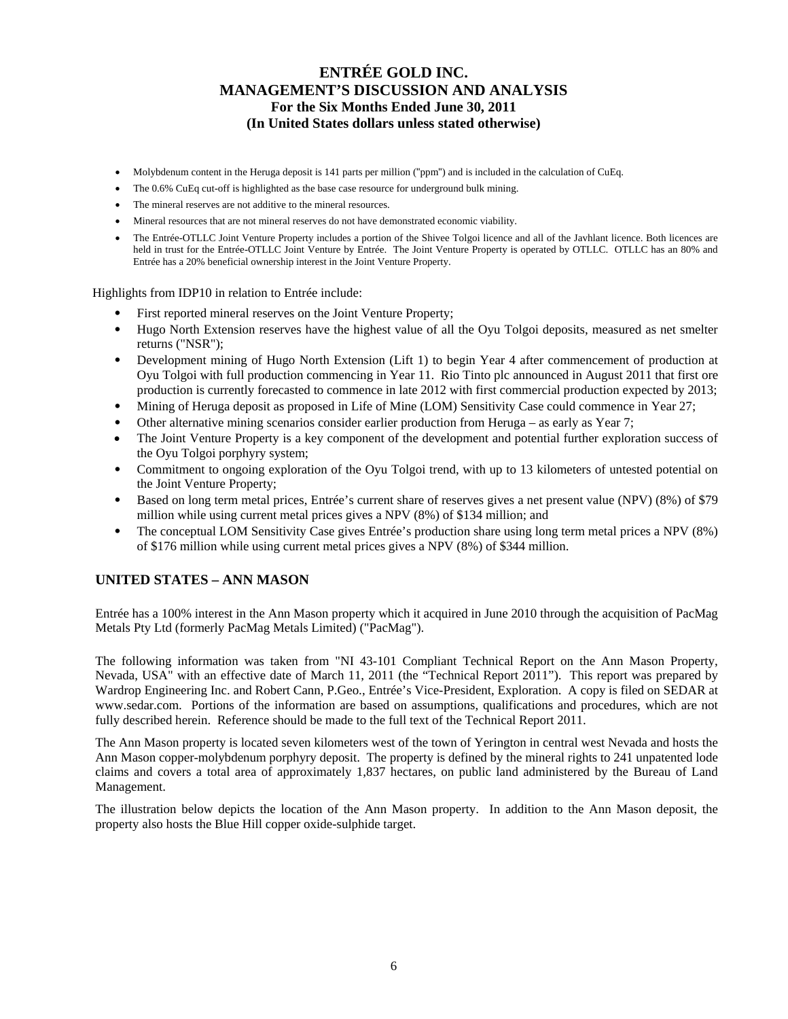- Molybdenum content in the Heruga deposit is 141 parts per million ("ppm") and is included in the calculation of CuEq.
- The 0.6% CuEq cut-off is highlighted as the base case resource for underground bulk mining.
- The mineral reserves are not additive to the mineral resources.
- Mineral resources that are not mineral reserves do not have demonstrated economic viability.
- The Entrée-OTLLC Joint Venture Property includes a portion of the Shivee Tolgoi licence and all of the Javhlant licence. Both licences are held in trust for the Entrée-OTLLC Joint Venture by Entrée. The Joint Venture Property is operated by OTLLC. OTLLC has an 80% and Entrée has a 20% beneficial ownership interest in the Joint Venture Property.

Highlights from IDP10 in relation to Entrée include:

- First reported mineral reserves on the Joint Venture Property;
- Hugo North Extension reserves have the highest value of all the Oyu Tolgoi deposits, measured as net smelter returns ("NSR");
- Development mining of Hugo North Extension (Lift 1) to begin Year 4 after commencement of production at Oyu Tolgoi with full production commencing in Year 11. Rio Tinto plc announced in August 2011 that first ore production is currently forecasted to commence in late 2012 with first commercial production expected by 2013;
- Mining of Heruga deposit as proposed in Life of Mine (LOM) Sensitivity Case could commence in Year 27;
- Other alternative mining scenarios consider earlier production from Heruga as early as Year 7;
- The Joint Venture Property is a key component of the development and potential further exploration success of the Oyu Tolgoi porphyry system;
- Commitment to ongoing exploration of the Oyu Tolgoi trend, with up to 13 kilometers of untested potential on the Joint Venture Property;
- Based on long term metal prices, Entrée's current share of reserves gives a net present value (NPV) (8%) of \$79 million while using current metal prices gives a NPV (8%) of \$134 million; and
- The conceptual LOM Sensitivity Case gives Entrée's production share using long term metal prices a NPV (8%) of \$176 million while using current metal prices gives a NPV (8%) of \$344 million.

### **UNITED STATES – ANN MASON**

Entrée has a 100% interest in the Ann Mason property which it acquired in June 2010 through the acquisition of PacMag Metals Pty Ltd (formerly PacMag Metals Limited) ("PacMag").

The following information was taken from "NI 43-101 Compliant Technical Report on the Ann Mason Property, Nevada, USA" with an effective date of March 11, 2011 (the "Technical Report 2011"). This report was prepared by Wardrop Engineering Inc. and Robert Cann, P.Geo., Entrée's Vice-President, Exploration. A copy is filed on SEDAR at www.sedar.com. Portions of the information are based on assumptions, qualifications and procedures, which are not fully described herein. Reference should be made to the full text of the Technical Report 2011.

The Ann Mason property is located seven kilometers west of the town of Yerington in central west Nevada and hosts the Ann Mason copper-molybdenum porphyry deposit. The property is defined by the mineral rights to 241 unpatented lode claims and covers a total area of approximately 1,837 hectares, on public land administered by the Bureau of Land Management.

The illustration below depicts the location of the Ann Mason property. In addition to the Ann Mason deposit, the property also hosts the Blue Hill copper oxide-sulphide target.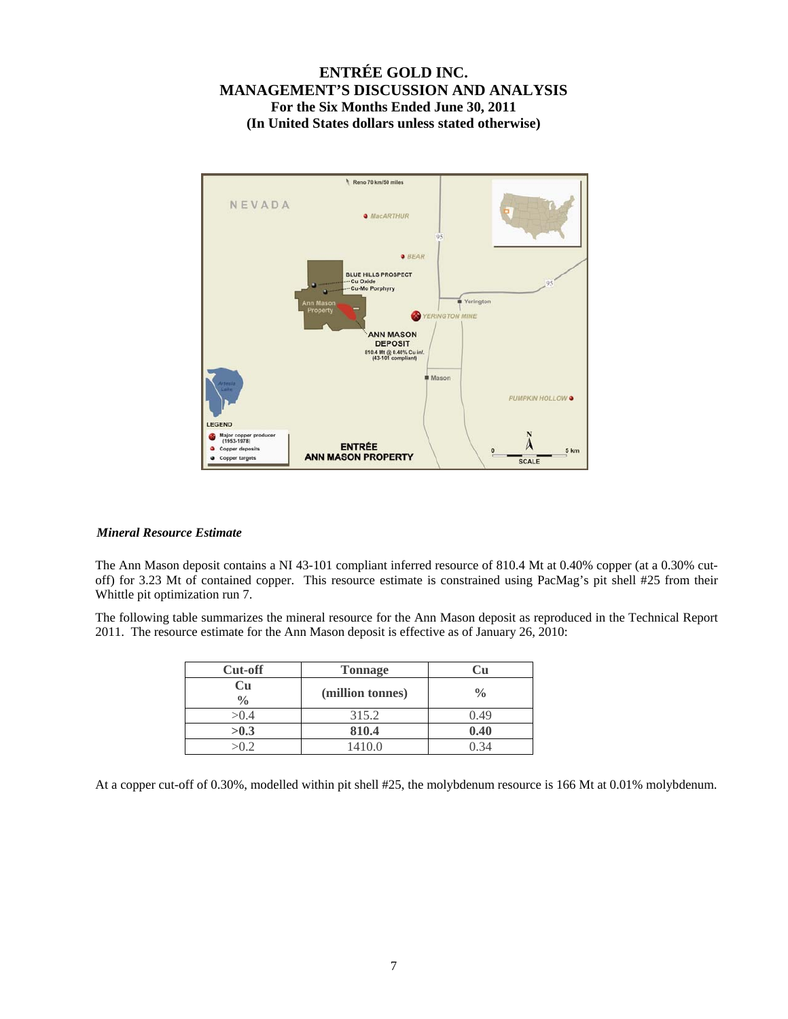

#### *Mineral Resource Estimate*

The Ann Mason deposit contains a NI 43-101 compliant inferred resource of 810.4 Mt at 0.40% copper (at a 0.30% cutoff) for 3.23 Mt of contained copper. This resource estimate is constrained using PacMag's pit shell #25 from their Whittle pit optimization run 7.

The following table summarizes the mineral resource for the Ann Mason deposit as reproduced in the Technical Report 2011. The resource estimate for the Ann Mason deposit is effective as of January 26, 2010:

| <b>Cut-off</b>      | <b>Tonnage</b>   |               |
|---------------------|------------------|---------------|
| Cu<br>$\frac{0}{0}$ | (million tonnes) | $\frac{0}{0}$ |
| >0.4                | 315.2            | 0.49          |
| >0.3                | 810.4            | 0.40          |
| √∩ ∂                | 1410.0           |               |

At a copper cut-off of 0.30%, modelled within pit shell #25, the molybdenum resource is 166 Mt at 0.01% molybdenum.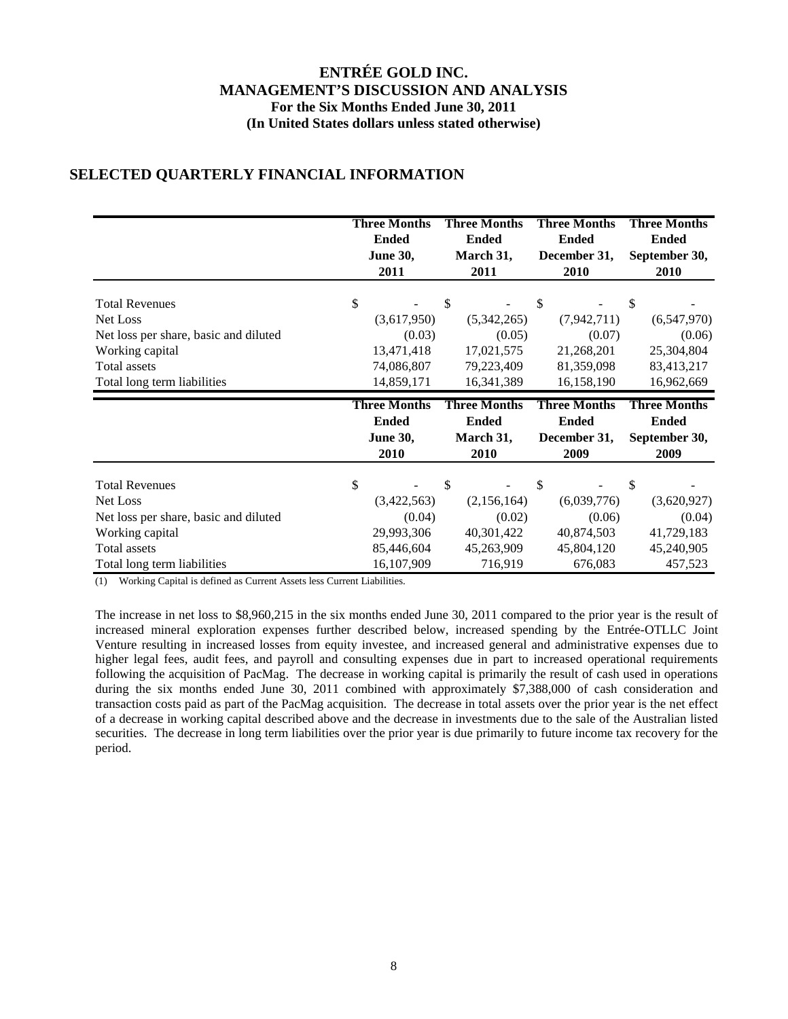# **SELECTED QUARTERLY FINANCIAL INFORMATION**

|                                       | <b>Three Months</b><br><b>Ended</b><br><b>June 30,</b><br>2011 |        | <b>Three Months</b><br><b>Ended</b><br>March 31,<br>2011 |               | <b>Three Months</b><br><b>Ended</b><br>December 31,<br>2010 | <b>Three Months</b><br><b>Ended</b><br>September 30,<br>2010 |
|---------------------------------------|----------------------------------------------------------------|--------|----------------------------------------------------------|---------------|-------------------------------------------------------------|--------------------------------------------------------------|
| <b>Total Revenues</b>                 | \$                                                             | \$     |                                                          | $\mathcal{S}$ |                                                             | \$                                                           |
| Net Loss                              | (3,617,950)                                                    |        | (5,342,265)                                              |               | (7, 942, 711)                                               | (6,547,970)                                                  |
| Net loss per share, basic and diluted |                                                                | (0.03) | (0.05)                                                   |               | (0.07)                                                      | (0.06)                                                       |
| Working capital                       | 13,471,418                                                     |        | 17,021,575                                               |               | 21,268,201                                                  | 25,304,804                                                   |
| Total assets                          | 74,086,807                                                     |        | 79,223,409                                               |               | 81,359,098                                                  | 83,413,217                                                   |
| Total long term liabilities           | 14,859,171                                                     |        | 16, 341, 389                                             |               | 16,158,190                                                  | 16,962,669                                                   |
|                                       |                                                                |        |                                                          |               |                                                             |                                                              |
|                                       | <b>Three Months</b><br><b>Ended</b><br><b>June 30,</b><br>2010 |        | <b>Three Months</b><br><b>Ended</b><br>March 31,<br>2010 |               | <b>Three Months</b><br><b>Ended</b><br>December 31,<br>2009 | <b>Three Months</b><br><b>Ended</b><br>September 30,<br>2009 |
| <b>Total Revenues</b>                 | \$                                                             | S      |                                                          | \$            |                                                             | \$                                                           |
| Net Loss                              | (3,422,563)                                                    |        | (2,156,164)                                              |               | (6,039,776)                                                 | (3,620,927)                                                  |
| Net loss per share, basic and diluted |                                                                | (0.04) | (0.02)                                                   |               | (0.06)                                                      | (0.04)                                                       |
|                                       | 29,993,306                                                     |        | 40,301,422                                               |               | 40,874,503                                                  | 41,729,183                                                   |
| Working capital<br>Total assets       | 85,446,604                                                     |        | 45,263,909                                               |               | 45,804,120                                                  | 45,240,905                                                   |

(1) Working Capital is defined as Current Assets less Current Liabilities.

The increase in net loss to \$8,960,215 in the six months ended June 30, 2011 compared to the prior year is the result of increased mineral exploration expenses further described below, increased spending by the Entrée-OTLLC Joint Venture resulting in increased losses from equity investee, and increased general and administrative expenses due to higher legal fees, audit fees, and payroll and consulting expenses due in part to increased operational requirements following the acquisition of PacMag. The decrease in working capital is primarily the result of cash used in operations during the six months ended June 30, 2011 combined with approximately \$7,388,000 of cash consideration and transaction costs paid as part of the PacMag acquisition. The decrease in total assets over the prior year is the net effect of a decrease in working capital described above and the decrease in investments due to the sale of the Australian listed securities. The decrease in long term liabilities over the prior year is due primarily to future income tax recovery for the period.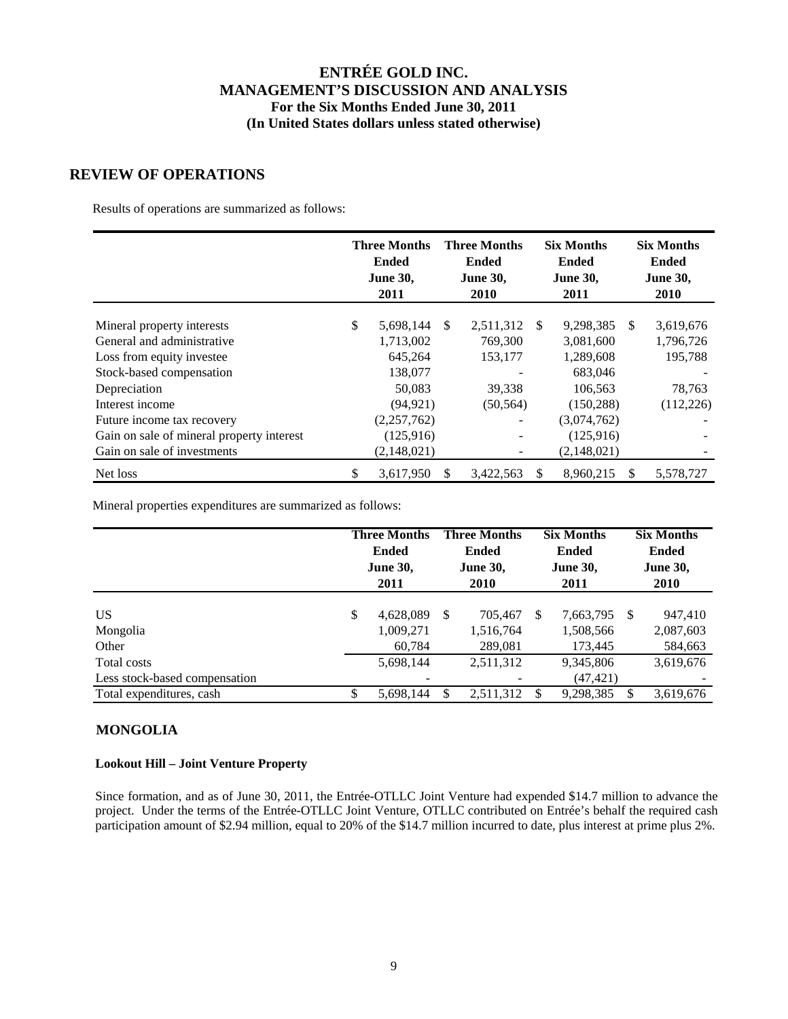### **REVIEW OF OPERATIONS**

Results of operations are summarized as follows:

|                                           | <b>Three Months</b><br><b>Ended</b><br><b>June 30,</b><br>2011 |               | <b>Three Months</b><br><b>Ended</b><br><b>June 30,</b><br>2010 |     | <b>Six Months</b><br><b>Ended</b><br><b>June 30,</b><br>2011 |    | <b>Six Months</b><br><b>Ended</b><br><b>June 30,</b><br>2010 |
|-------------------------------------------|----------------------------------------------------------------|---------------|----------------------------------------------------------------|-----|--------------------------------------------------------------|----|--------------------------------------------------------------|
| Mineral property interests                | \$<br>5,698,144                                                | <sup>\$</sup> | 2,511,312                                                      | -S  | 9,298,385                                                    | -S | 3,619,676                                                    |
| General and administrative                | 1,713,002                                                      |               | 769,300                                                        |     | 3,081,600                                                    |    | 1,796,726                                                    |
| Loss from equity investee                 | 645,264                                                        |               | 153,177                                                        |     | 1,289,608                                                    |    | 195,788                                                      |
| Stock-based compensation                  | 138,077                                                        |               |                                                                |     | 683,046                                                      |    |                                                              |
| Depreciation                              | 50,083                                                         |               | 39,338                                                         |     | 106,563                                                      |    | 78,763                                                       |
| Interest income                           | (94, 921)                                                      |               | (50, 564)                                                      |     | (150, 288)                                                   |    | (112, 226)                                                   |
| Future income tax recovery                | (2,257,762)                                                    |               | $\overline{\phantom{a}}$                                       |     | (3,074,762)                                                  |    |                                                              |
| Gain on sale of mineral property interest | (125,916)                                                      |               | $\overline{\phantom{a}}$                                       |     | (125, 916)                                                   |    |                                                              |
| Gain on sale of investments               | (2,148,021)                                                    |               |                                                                |     | (2,148,021)                                                  |    |                                                              |
| Net loss                                  | \$<br>3,617,950                                                | S             | 3,422,563                                                      | \$. | 8.960.215                                                    | -S | 5.578.727                                                    |

Mineral properties expenditures are summarized as follows:

|                                              | <b>Three Months</b><br><b>Three Months</b><br><b>Six Months</b><br><b>Ended</b><br><b>Ended</b><br><b>Ended</b><br><b>June 30,</b><br><b>June 30,</b><br><b>June 30,</b><br><b>2010</b><br>2011<br>2011 |                                  | <b>Six Months</b><br><b>Ended</b><br><b>June 30,</b><br><b>2010</b> |                                       |    |                                      |  |                                 |
|----------------------------------------------|---------------------------------------------------------------------------------------------------------------------------------------------------------------------------------------------------------|----------------------------------|---------------------------------------------------------------------|---------------------------------------|----|--------------------------------------|--|---------------------------------|
| <b>US</b><br>Mongolia<br>Other               | \$                                                                                                                                                                                                      | 4,628,089<br>1,009,271<br>60.784 | -S                                                                  | 705,467<br>1,516,764<br>289,081       | S  | 7,663,795 \$<br>1,508,566<br>173,445 |  | 947,410<br>2,087,603<br>584,663 |
| Total costs<br>Less stock-based compensation |                                                                                                                                                                                                         | 5,698,144<br>-                   |                                                                     | 2,511,312<br>$\overline{\phantom{0}}$ |    | 9,345,806<br>(47, 421)               |  | 3,619,676                       |
| Total expenditures, cash                     | S                                                                                                                                                                                                       | 5.698.144                        | S                                                                   | 2,511,312                             | æ, | 9,298,385                            |  | 3,619,676                       |

## **MONGOLIA**

### **Lookout Hill – Joint Venture Property**

Since formation, and as of June 30, 2011, the Entrée-OTLLC Joint Venture had expended \$14.7 million to advance the project. Under the terms of the Entrée-OTLLC Joint Venture, OTLLC contributed on Entrée's behalf the required cash participation amount of \$2.94 million, equal to 20% of the \$14.7 million incurred to date, plus interest at prime plus 2%.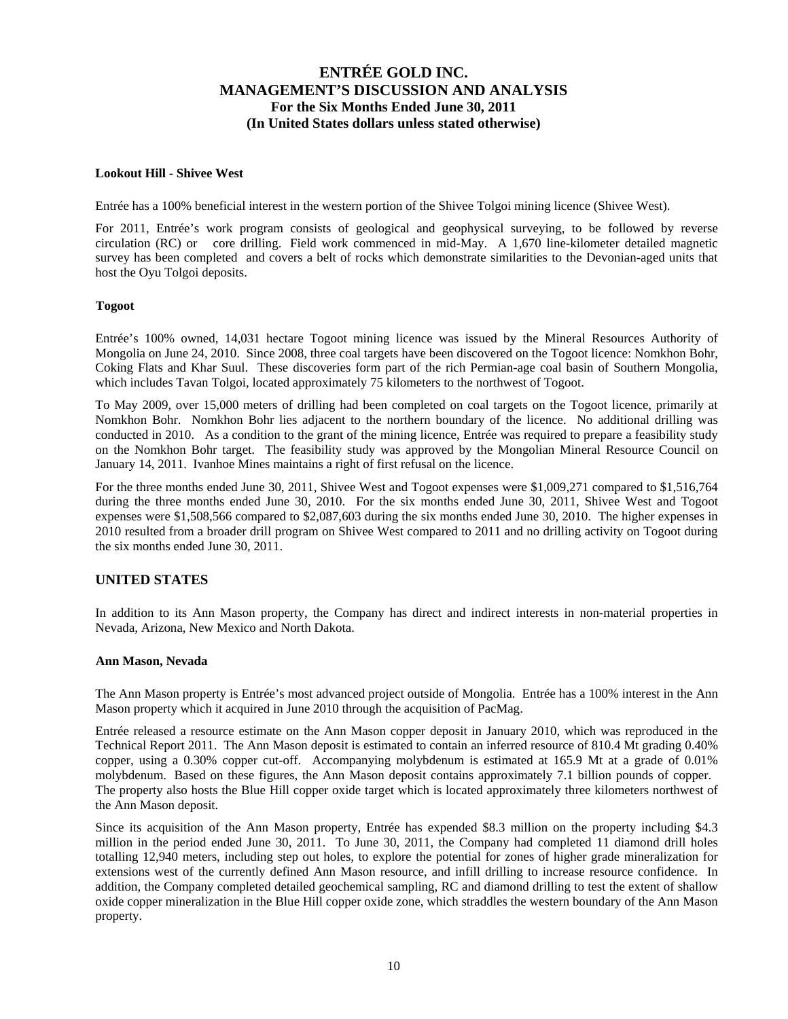#### **Lookout Hill - Shivee West**

Entrée has a 100% beneficial interest in the western portion of the Shivee Tolgoi mining licence (Shivee West).

For 2011, Entrée's work program consists of geological and geophysical surveying, to be followed by reverse circulation (RC) or core drilling. Field work commenced in mid-May. A 1,670 line-kilometer detailed magnetic survey has been completed and covers a belt of rocks which demonstrate similarities to the Devonian-aged units that host the Oyu Tolgoi deposits.

#### **Togoot**

Entrée's 100% owned, 14,031 hectare Togoot mining licence was issued by the Mineral Resources Authority of Mongolia on June 24, 2010. Since 2008, three coal targets have been discovered on the Togoot licence: Nomkhon Bohr, Coking Flats and Khar Suul. These discoveries form part of the rich Permian-age coal basin of Southern Mongolia, which includes Tavan Tolgoi, located approximately 75 kilometers to the northwest of Togoot.

To May 2009, over 15,000 meters of drilling had been completed on coal targets on the Togoot licence, primarily at Nomkhon Bohr. Nomkhon Bohr lies adjacent to the northern boundary of the licence. No additional drilling was conducted in 2010. As a condition to the grant of the mining licence, Entrée was required to prepare a feasibility study on the Nomkhon Bohr target. The feasibility study was approved by the Mongolian Mineral Resource Council on January 14, 2011. Ivanhoe Mines maintains a right of first refusal on the licence.

For the three months ended June 30, 2011, Shivee West and Togoot expenses were \$1,009,271 compared to \$1,516,764 during the three months ended June 30, 2010. For the six months ended June 30, 2011, Shivee West and Togoot expenses were \$1,508,566 compared to \$2,087,603 during the six months ended June 30, 2010. The higher expenses in 2010 resulted from a broader drill program on Shivee West compared to 2011 and no drilling activity on Togoot during the six months ended June 30, 2011.

### **UNITED STATES**

In addition to its Ann Mason property, the Company has direct and indirect interests in non-material properties in Nevada, Arizona, New Mexico and North Dakota.

#### **Ann Mason, Nevada**

The Ann Mason property is Entrée's most advanced project outside of Mongolia. Entrée has a 100% interest in the Ann Mason property which it acquired in June 2010 through the acquisition of PacMag.

Entrée released a resource estimate on the Ann Mason copper deposit in January 2010, which was reproduced in the Technical Report 2011. The Ann Mason deposit is estimated to contain an inferred resource of 810.4 Mt grading 0.40% copper, using a 0.30% copper cut-off. Accompanying molybdenum is estimated at 165.9 Mt at a grade of 0.01% molybdenum. Based on these figures, the Ann Mason deposit contains approximately 7.1 billion pounds of copper. The property also hosts the Blue Hill copper oxide target which is located approximately three kilometers northwest of the Ann Mason deposit.

Since its acquisition of the Ann Mason property, Entrée has expended \$8.3 million on the property including \$4.3 million in the period ended June 30, 2011. To June 30, 2011, the Company had completed 11 diamond drill holes totalling 12,940 meters, including step out holes, to explore the potential for zones of higher grade mineralization for extensions west of the currently defined Ann Mason resource, and infill drilling to increase resource confidence. In addition, the Company completed detailed geochemical sampling, RC and diamond drilling to test the extent of shallow oxide copper mineralization in the Blue Hill copper oxide zone, which straddles the western boundary of the Ann Mason property.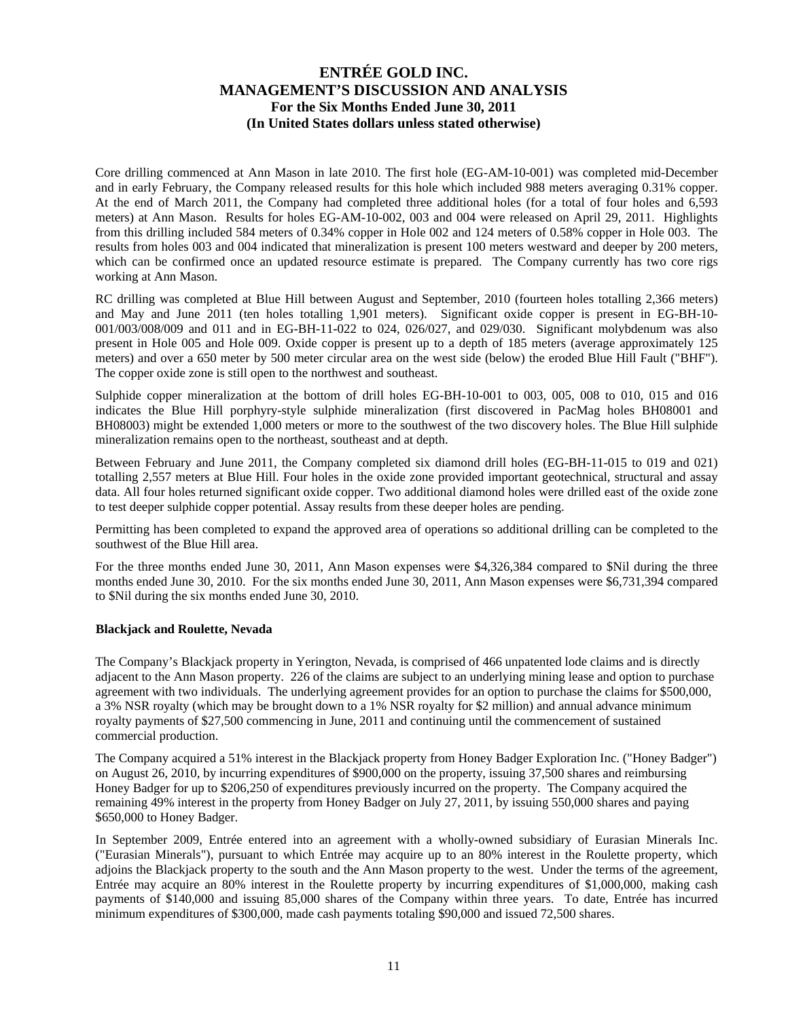Core drilling commenced at Ann Mason in late 2010. The first hole (EG-AM-10-001) was completed mid-December and in early February, the Company released results for this hole which included 988 meters averaging 0.31% copper. At the end of March 2011, the Company had completed three additional holes (for a total of four holes and 6,593 meters) at Ann Mason. Results for holes EG-AM-10-002, 003 and 004 were released on April 29, 2011. Highlights from this drilling included 584 meters of 0.34% copper in Hole 002 and 124 meters of 0.58% copper in Hole 003. The results from holes 003 and 004 indicated that mineralization is present 100 meters westward and deeper by 200 meters, which can be confirmed once an updated resource estimate is prepared. The Company currently has two core rigs working at Ann Mason.

RC drilling was completed at Blue Hill between August and September, 2010 (fourteen holes totalling 2,366 meters) and May and June 2011 (ten holes totalling 1,901 meters). Significant oxide copper is present in EG-BH-10- 001/003/008/009 and 011 and in EG-BH-11-022 to 024, 026/027, and 029/030. Significant molybdenum was also present in Hole 005 and Hole 009. Oxide copper is present up to a depth of 185 meters (average approximately 125 meters) and over a 650 meter by 500 meter circular area on the west side (below) the eroded Blue Hill Fault ("BHF"). The copper oxide zone is still open to the northwest and southeast.

Sulphide copper mineralization at the bottom of drill holes EG-BH-10-001 to 003, 005, 008 to 010, 015 and 016 indicates the Blue Hill porphyry-style sulphide mineralization (first discovered in PacMag holes BH08001 and BH08003) might be extended 1,000 meters or more to the southwest of the two discovery holes. The Blue Hill sulphide mineralization remains open to the northeast, southeast and at depth.

Between February and June 2011, the Company completed six diamond drill holes (EG-BH-11-015 to 019 and 021) totalling 2,557 meters at Blue Hill. Four holes in the oxide zone provided important geotechnical, structural and assay data. All four holes returned significant oxide copper. Two additional diamond holes were drilled east of the oxide zone to test deeper sulphide copper potential. Assay results from these deeper holes are pending.

Permitting has been completed to expand the approved area of operations so additional drilling can be completed to the southwest of the Blue Hill area.

For the three months ended June 30, 2011, Ann Mason expenses were \$4,326,384 compared to \$Nil during the three months ended June 30, 2010. For the six months ended June 30, 2011, Ann Mason expenses were \$6,731,394 compared to \$Nil during the six months ended June 30, 2010.

### **Blackjack and Roulette, Nevada**

The Company's Blackjack property in Yerington, Nevada, is comprised of 466 unpatented lode claims and is directly adjacent to the Ann Mason property. 226 of the claims are subject to an underlying mining lease and option to purchase agreement with two individuals. The underlying agreement provides for an option to purchase the claims for \$500,000, a 3% NSR royalty (which may be brought down to a 1% NSR royalty for \$2 million) and annual advance minimum royalty payments of \$27,500 commencing in June, 2011 and continuing until the commencement of sustained commercial production.

The Company acquired a 51% interest in the Blackjack property from Honey Badger Exploration Inc. ("Honey Badger") on August 26, 2010, by incurring expenditures of \$900,000 on the property, issuing 37,500 shares and reimbursing Honey Badger for up to \$206,250 of expenditures previously incurred on the property. The Company acquired the remaining 49% interest in the property from Honey Badger on July 27, 2011, by issuing 550,000 shares and paying \$650,000 to Honey Badger.

In September 2009, Entrée entered into an agreement with a wholly-owned subsidiary of Eurasian Minerals Inc. ("Eurasian Minerals"), pursuant to which Entrée may acquire up to an 80% interest in the Roulette property, which adjoins the Blackjack property to the south and the Ann Mason property to the west. Under the terms of the agreement, Entrée may acquire an 80% interest in the Roulette property by incurring expenditures of \$1,000,000, making cash payments of \$140,000 and issuing 85,000 shares of the Company within three years. To date, Entrée has incurred minimum expenditures of \$300,000, made cash payments totaling \$90,000 and issued 72,500 shares.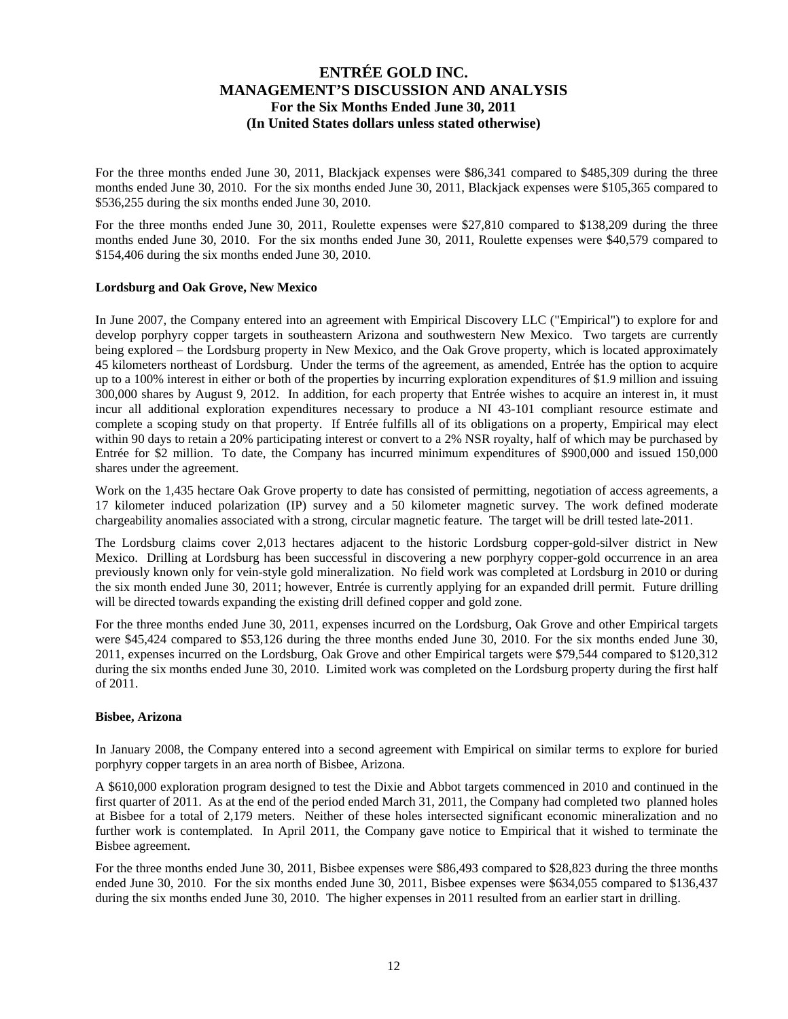For the three months ended June 30, 2011, Blackjack expenses were \$86,341 compared to \$485,309 during the three months ended June 30, 2010. For the six months ended June 30, 2011, Blackjack expenses were \$105,365 compared to \$536,255 during the six months ended June 30, 2010.

For the three months ended June 30, 2011, Roulette expenses were \$27,810 compared to \$138,209 during the three months ended June 30, 2010. For the six months ended June 30, 2011, Roulette expenses were \$40,579 compared to \$154,406 during the six months ended June 30, 2010.

#### **Lordsburg and Oak Grove, New Mexico**

In June 2007, the Company entered into an agreement with Empirical Discovery LLC ("Empirical") to explore for and develop porphyry copper targets in southeastern Arizona and southwestern New Mexico. Two targets are currently being explored – the Lordsburg property in New Mexico, and the Oak Grove property, which is located approximately 45 kilometers northeast of Lordsburg. Under the terms of the agreement, as amended, Entrée has the option to acquire up to a 100% interest in either or both of the properties by incurring exploration expenditures of \$1.9 million and issuing 300,000 shares by August 9, 2012. In addition, for each property that Entrée wishes to acquire an interest in, it must incur all additional exploration expenditures necessary to produce a NI 43-101 compliant resource estimate and complete a scoping study on that property. If Entrée fulfills all of its obligations on a property, Empirical may elect within 90 days to retain a 20% participating interest or convert to a 2% NSR royalty, half of which may be purchased by Entrée for \$2 million. To date, the Company has incurred minimum expenditures of \$900,000 and issued 150,000 shares under the agreement.

Work on the 1,435 hectare Oak Grove property to date has consisted of permitting, negotiation of access agreements, a 17 kilometer induced polarization (IP) survey and a 50 kilometer magnetic survey. The work defined moderate chargeability anomalies associated with a strong, circular magnetic feature. The target will be drill tested late-2011.

The Lordsburg claims cover 2,013 hectares adjacent to the historic Lordsburg copper-gold-silver district in New Mexico. Drilling at Lordsburg has been successful in discovering a new porphyry copper-gold occurrence in an area previously known only for vein-style gold mineralization. No field work was completed at Lordsburg in 2010 or during the six month ended June 30, 2011; however, Entrée is currently applying for an expanded drill permit. Future drilling will be directed towards expanding the existing drill defined copper and gold zone.

For the three months ended June 30, 2011, expenses incurred on the Lordsburg, Oak Grove and other Empirical targets were \$45,424 compared to \$53,126 during the three months ended June 30, 2010. For the six months ended June 30, 2011, expenses incurred on the Lordsburg, Oak Grove and other Empirical targets were \$79,544 compared to \$120,312 during the six months ended June 30, 2010. Limited work was completed on the Lordsburg property during the first half of 2011.

#### **Bisbee, Arizona**

In January 2008, the Company entered into a second agreement with Empirical on similar terms to explore for buried porphyry copper targets in an area north of Bisbee, Arizona.

A \$610,000 exploration program designed to test the Dixie and Abbot targets commenced in 2010 and continued in the first quarter of 2011. As at the end of the period ended March 31, 2011, the Company had completed two planned holes at Bisbee for a total of 2,179 meters. Neither of these holes intersected significant economic mineralization and no further work is contemplated. In April 2011, the Company gave notice to Empirical that it wished to terminate the Bisbee agreement.

For the three months ended June 30, 2011, Bisbee expenses were \$86,493 compared to \$28,823 during the three months ended June 30, 2010. For the six months ended June 30, 2011, Bisbee expenses were \$634,055 compared to \$136,437 during the six months ended June 30, 2010. The higher expenses in 2011 resulted from an earlier start in drilling.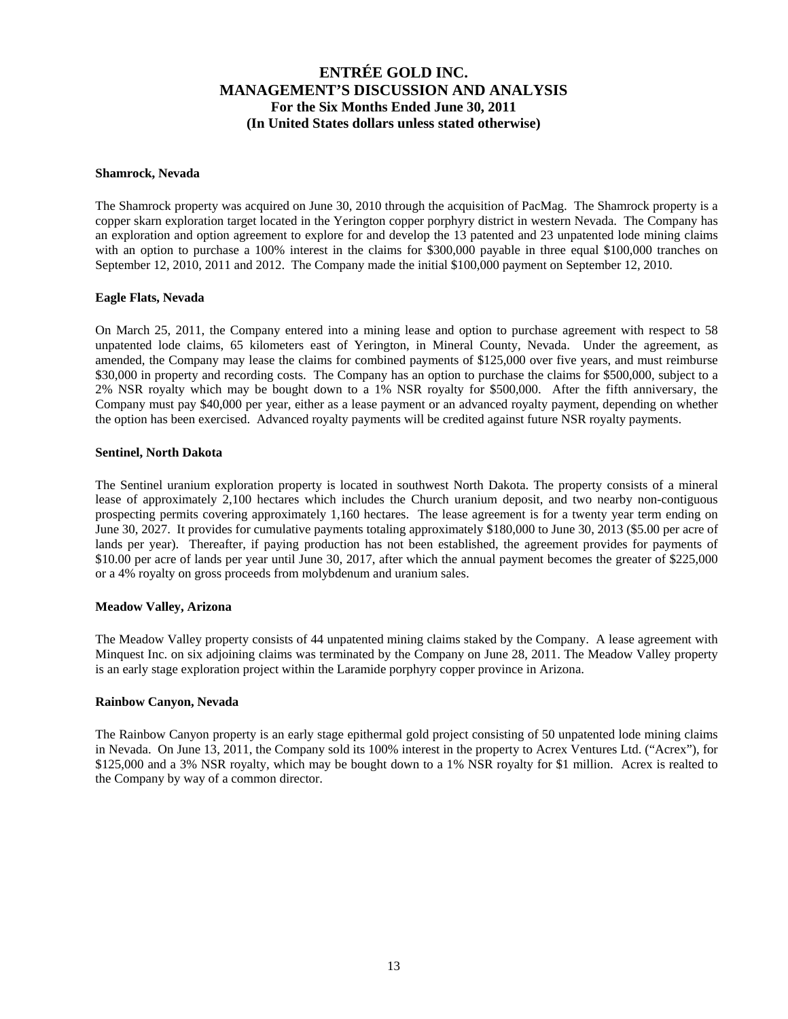#### **Shamrock, Nevada**

The Shamrock property was acquired on June 30, 2010 through the acquisition of PacMag. The Shamrock property is a copper skarn exploration target located in the Yerington copper porphyry district in western Nevada. The Company has an exploration and option agreement to explore for and develop the 13 patented and 23 unpatented lode mining claims with an option to purchase a 100% interest in the claims for \$300,000 payable in three equal \$100,000 tranches on September 12, 2010, 2011 and 2012. The Company made the initial \$100,000 payment on September 12, 2010.

### **Eagle Flats, Nevada**

On March 25, 2011, the Company entered into a mining lease and option to purchase agreement with respect to 58 unpatented lode claims, 65 kilometers east of Yerington, in Mineral County, Nevada. Under the agreement, as amended, the Company may lease the claims for combined payments of \$125,000 over five years, and must reimburse \$30,000 in property and recording costs. The Company has an option to purchase the claims for \$500,000, subject to a 2% NSR royalty which may be bought down to a 1% NSR royalty for \$500,000. After the fifth anniversary, the Company must pay \$40,000 per year, either as a lease payment or an advanced royalty payment, depending on whether the option has been exercised. Advanced royalty payments will be credited against future NSR royalty payments.

#### **Sentinel, North Dakota**

The Sentinel uranium exploration property is located in southwest North Dakota. The property consists of a mineral lease of approximately 2,100 hectares which includes the Church uranium deposit, and two nearby non-contiguous prospecting permits covering approximately 1,160 hectares. The lease agreement is for a twenty year term ending on June 30, 2027. It provides for cumulative payments totaling approximately \$180,000 to June 30, 2013 (\$5.00 per acre of lands per year). Thereafter, if paying production has not been established, the agreement provides for payments of \$10.00 per acre of lands per year until June 30, 2017, after which the annual payment becomes the greater of \$225,000 or a 4% royalty on gross proceeds from molybdenum and uranium sales.

#### **Meadow Valley, Arizona**

The Meadow Valley property consists of 44 unpatented mining claims staked by the Company. A lease agreement with Minquest Inc. on six adjoining claims was terminated by the Company on June 28, 2011. The Meadow Valley property is an early stage exploration project within the Laramide porphyry copper province in Arizona.

#### **Rainbow Canyon, Nevada**

The Rainbow Canyon property is an early stage epithermal gold project consisting of 50 unpatented lode mining claims in Nevada. On June 13, 2011, the Company sold its 100% interest in the property to Acrex Ventures Ltd. ("Acrex"), for \$125,000 and a 3% NSR royalty, which may be bought down to a 1% NSR royalty for \$1 million. Acrex is realted to the Company by way of a common director.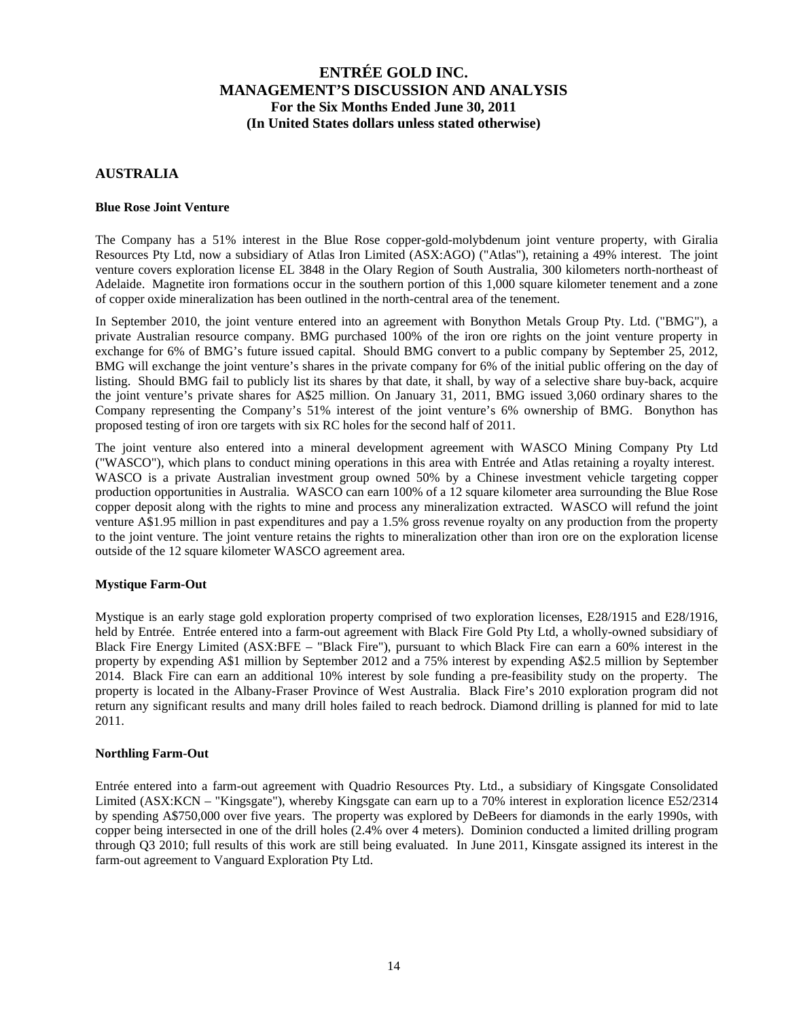### **AUSTRALIA**

#### **Blue Rose Joint Venture**

The Company has a 51% interest in the Blue Rose copper-gold-molybdenum joint venture property, with Giralia Resources Pty Ltd, now a subsidiary of Atlas Iron Limited (ASX:AGO) ("Atlas"), retaining a 49% interest. The joint venture covers exploration license EL 3848 in the Olary Region of South Australia, 300 kilometers north-northeast of Adelaide. Magnetite iron formations occur in the southern portion of this 1,000 square kilometer tenement and a zone of copper oxide mineralization has been outlined in the north-central area of the tenement.

In September 2010, the joint venture entered into an agreement with Bonython Metals Group Pty. Ltd. ("BMG"), a private Australian resource company. BMG purchased 100% of the iron ore rights on the joint venture property in exchange for 6% of BMG's future issued capital. Should BMG convert to a public company by September 25, 2012, BMG will exchange the joint venture's shares in the private company for 6% of the initial public offering on the day of listing. Should BMG fail to publicly list its shares by that date, it shall, by way of a selective share buy-back, acquire the joint venture's private shares for A\$25 million. On January 31, 2011, BMG issued 3,060 ordinary shares to the Company representing the Company's 51% interest of the joint venture's 6% ownership of BMG. Bonython has proposed testing of iron ore targets with six RC holes for the second half of 2011.

The joint venture also entered into a mineral development agreement with WASCO Mining Company Pty Ltd ("WASCO"), which plans to conduct mining operations in this area with Entrée and Atlas retaining a royalty interest. WASCO is a private Australian investment group owned 50% by a Chinese investment vehicle targeting copper production opportunities in Australia. WASCO can earn 100% of a 12 square kilometer area surrounding the Blue Rose copper deposit along with the rights to mine and process any mineralization extracted. WASCO will refund the joint venture A\$1.95 million in past expenditures and pay a 1.5% gross revenue royalty on any production from the property to the joint venture. The joint venture retains the rights to mineralization other than iron ore on the exploration license outside of the 12 square kilometer WASCO agreement area.

#### **Mystique Farm-Out**

Mystique is an early stage gold exploration property comprised of two exploration licenses, E28/1915 and E28/1916, held by Entrée. Entrée entered into a farm-out agreement with Black Fire Gold Pty Ltd, a wholly-owned subsidiary of Black Fire Energy Limited (ASX:BFE – "Black Fire"), pursuant to which Black Fire can earn a 60% interest in the property by expending A\$1 million by September 2012 and a 75% interest by expending A\$2.5 million by September 2014. Black Fire can earn an additional 10% interest by sole funding a pre-feasibility study on the property. The property is located in the Albany-Fraser Province of West Australia. Black Fire's 2010 exploration program did not return any significant results and many drill holes failed to reach bedrock. Diamond drilling is planned for mid to late 2011.

#### **Northling Farm-Out**

Entrée entered into a farm-out agreement with Quadrio Resources Pty. Ltd., a subsidiary of Kingsgate Consolidated Limited (ASX:KCN – "Kingsgate"), whereby Kingsgate can earn up to a 70% interest in exploration licence E52/2314 by spending A\$750,000 over five years. The property was explored by DeBeers for diamonds in the early 1990s, with copper being intersected in one of the drill holes (2.4% over 4 meters). Dominion conducted a limited drilling program through Q3 2010; full results of this work are still being evaluated. In June 2011, Kinsgate assigned its interest in the farm-out agreement to Vanguard Exploration Pty Ltd.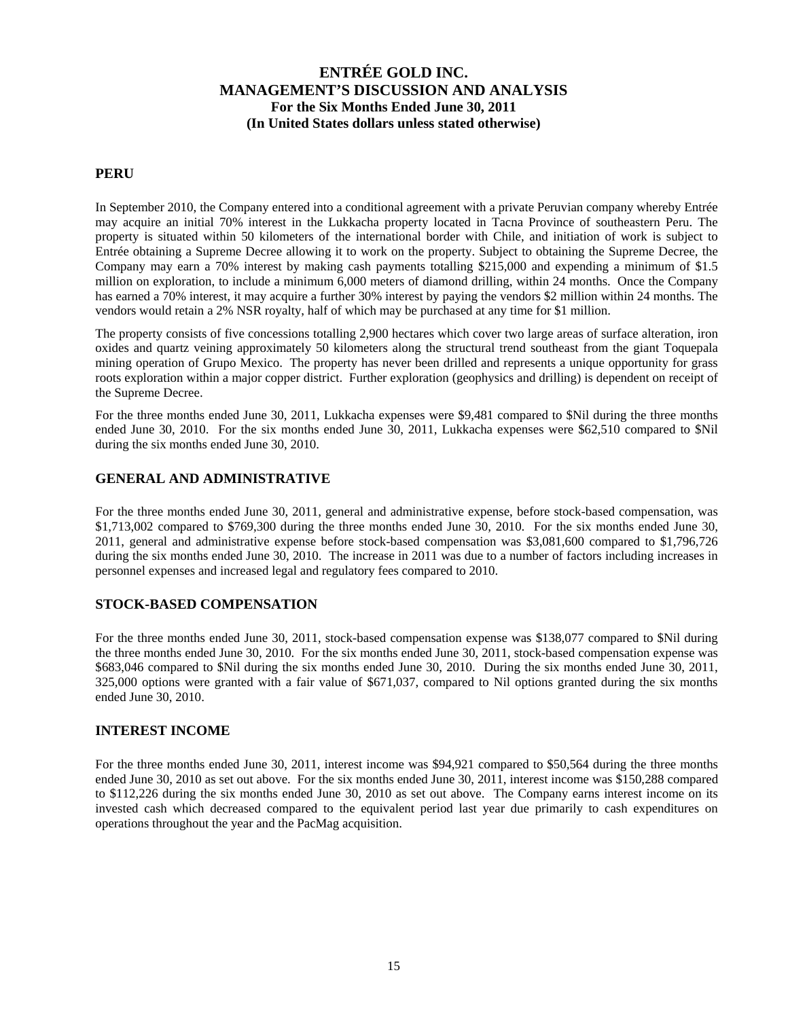### **PERU**

In September 2010, the Company entered into a conditional agreement with a private Peruvian company whereby Entrée may acquire an initial 70% interest in the Lukkacha property located in Tacna Province of southeastern Peru. The property is situated within 50 kilometers of the international border with Chile, and initiation of work is subject to Entrée obtaining a Supreme Decree allowing it to work on the property. Subject to obtaining the Supreme Decree, the Company may earn a 70% interest by making cash payments totalling \$215,000 and expending a minimum of \$1.5 million on exploration, to include a minimum 6,000 meters of diamond drilling, within 24 months. Once the Company has earned a 70% interest, it may acquire a further 30% interest by paying the vendors \$2 million within 24 months. The vendors would retain a 2% NSR royalty, half of which may be purchased at any time for \$1 million.

The property consists of five concessions totalling 2,900 hectares which cover two large areas of surface alteration, iron oxides and quartz veining approximately 50 kilometers along the structural trend southeast from the giant Toquepala mining operation of Grupo Mexico. The property has never been drilled and represents a unique opportunity for grass roots exploration within a major copper district. Further exploration (geophysics and drilling) is dependent on receipt of the Supreme Decree.

For the three months ended June 30, 2011, Lukkacha expenses were \$9,481 compared to \$Nil during the three months ended June 30, 2010. For the six months ended June 30, 2011, Lukkacha expenses were \$62,510 compared to \$Nil during the six months ended June 30, 2010.

### **GENERAL AND ADMINISTRATIVE**

For the three months ended June 30, 2011, general and administrative expense, before stock-based compensation, was \$1,713,002 compared to \$769,300 during the three months ended June 30, 2010. For the six months ended June 30, 2011, general and administrative expense before stock-based compensation was \$3,081,600 compared to \$1,796,726 during the six months ended June 30, 2010. The increase in 2011 was due to a number of factors including increases in personnel expenses and increased legal and regulatory fees compared to 2010.

### **STOCK-BASED COMPENSATION**

For the three months ended June 30, 2011, stock-based compensation expense was \$138,077 compared to \$Nil during the three months ended June 30, 2010. For the six months ended June 30, 2011, stock-based compensation expense was \$683,046 compared to \$Nil during the six months ended June 30, 2010. During the six months ended June 30, 2011, 325,000 options were granted with a fair value of \$671,037, compared to Nil options granted during the six months ended June 30, 2010.

### **INTEREST INCOME**

For the three months ended June 30, 2011, interest income was \$94,921 compared to \$50,564 during the three months ended June 30, 2010 as set out above. For the six months ended June 30, 2011, interest income was \$150,288 compared to \$112,226 during the six months ended June 30, 2010 as set out above. The Company earns interest income on its invested cash which decreased compared to the equivalent period last year due primarily to cash expenditures on operations throughout the year and the PacMag acquisition.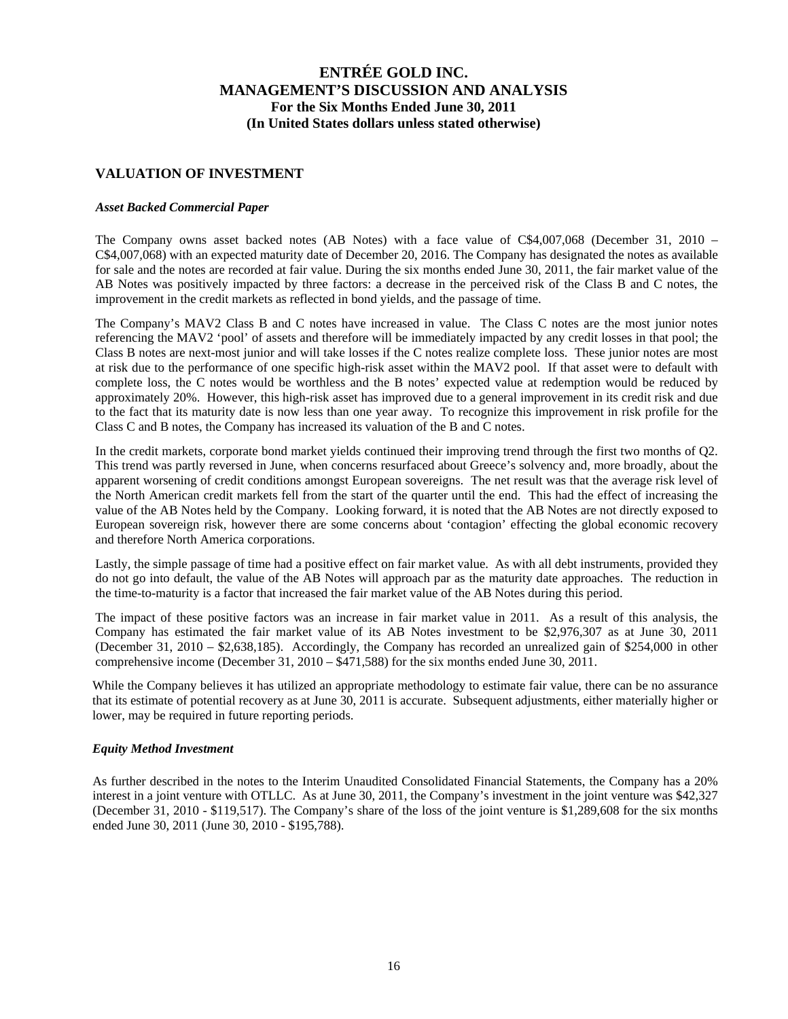### **VALUATION OF INVESTMENT**

#### *Asset Backed Commercial Paper*

The Company owns asset backed notes (AB Notes) with a face value of C\$4,007,068 (December 31, 2010 – C\$4,007,068) with an expected maturity date of December 20, 2016. The Company has designated the notes as available for sale and the notes are recorded at fair value. During the six months ended June 30, 2011, the fair market value of the AB Notes was positively impacted by three factors: a decrease in the perceived risk of the Class B and C notes, the improvement in the credit markets as reflected in bond yields, and the passage of time.

The Company's MAV2 Class B and C notes have increased in value. The Class C notes are the most junior notes referencing the MAV2 'pool' of assets and therefore will be immediately impacted by any credit losses in that pool; the Class B notes are next-most junior and will take losses if the C notes realize complete loss. These junior notes are most at risk due to the performance of one specific high-risk asset within the MAV2 pool. If that asset were to default with complete loss, the C notes would be worthless and the B notes' expected value at redemption would be reduced by approximately 20%. However, this high-risk asset has improved due to a general improvement in its credit risk and due to the fact that its maturity date is now less than one year away. To recognize this improvement in risk profile for the Class C and B notes, the Company has increased its valuation of the B and C notes.

In the credit markets, corporate bond market yields continued their improving trend through the first two months of Q2. This trend was partly reversed in June, when concerns resurfaced about Greece's solvency and, more broadly, about the apparent worsening of credit conditions amongst European sovereigns. The net result was that the average risk level of the North American credit markets fell from the start of the quarter until the end. This had the effect of increasing the value of the AB Notes held by the Company. Looking forward, it is noted that the AB Notes are not directly exposed to European sovereign risk, however there are some concerns about 'contagion' effecting the global economic recovery and therefore North America corporations.

Lastly, the simple passage of time had a positive effect on fair market value. As with all debt instruments, provided they do not go into default, the value of the AB Notes will approach par as the maturity date approaches. The reduction in the time-to-maturity is a factor that increased the fair market value of the AB Notes during this period.

The impact of these positive factors was an increase in fair market value in 2011. As a result of this analysis, the Company has estimated the fair market value of its AB Notes investment to be \$2,976,307 as at June 30, 2011 (December 31, 2010 – \$2,638,185). Accordingly, the Company has recorded an unrealized gain of \$254,000 in other comprehensive income (December 31, 2010 – \$471,588) for the six months ended June 30, 2011.

While the Company believes it has utilized an appropriate methodology to estimate fair value, there can be no assurance that its estimate of potential recovery as at June 30, 2011 is accurate. Subsequent adjustments, either materially higher or lower, may be required in future reporting periods.

#### *Equity Method Investment*

As further described in the notes to the Interim Unaudited Consolidated Financial Statements, the Company has a 20% interest in a joint venture with OTLLC. As at June 30, 2011, the Company's investment in the joint venture was \$42,327 (December 31, 2010 - \$119,517). The Company's share of the loss of the joint venture is \$1,289,608 for the six months ended June 30, 2011 (June 30, 2010 - \$195,788).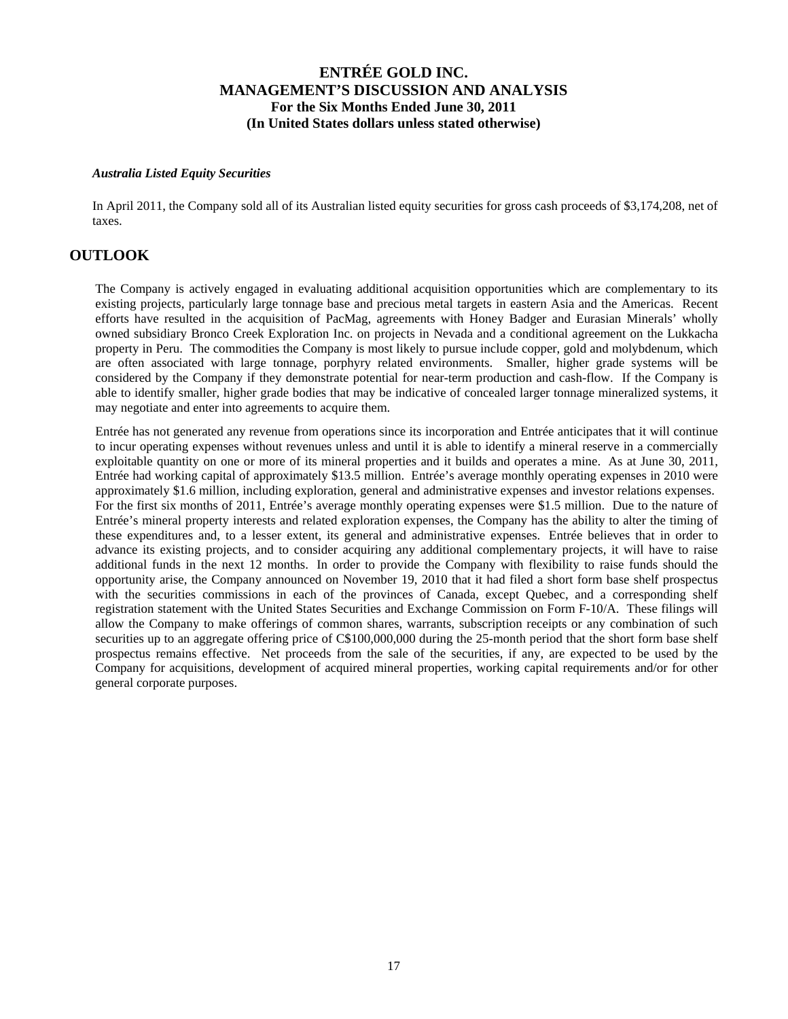#### *Australia Listed Equity Securities*

In April 2011, the Company sold all of its Australian listed equity securities for gross cash proceeds of \$3,174,208, net of taxes.

## **OUTLOOK**

The Company is actively engaged in evaluating additional acquisition opportunities which are complementary to its existing projects, particularly large tonnage base and precious metal targets in eastern Asia and the Americas. Recent efforts have resulted in the acquisition of PacMag, agreements with Honey Badger and Eurasian Minerals' wholly owned subsidiary Bronco Creek Exploration Inc. on projects in Nevada and a conditional agreement on the Lukkacha property in Peru. The commodities the Company is most likely to pursue include copper, gold and molybdenum, which are often associated with large tonnage, porphyry related environments. Smaller, higher grade systems will be considered by the Company if they demonstrate potential for near-term production and cash-flow. If the Company is able to identify smaller, higher grade bodies that may be indicative of concealed larger tonnage mineralized systems, it may negotiate and enter into agreements to acquire them.

Entrée has not generated any revenue from operations since its incorporation and Entrée anticipates that it will continue to incur operating expenses without revenues unless and until it is able to identify a mineral reserve in a commercially exploitable quantity on one or more of its mineral properties and it builds and operates a mine. As at June 30, 2011, Entrée had working capital of approximately \$13.5 million. Entrée's average monthly operating expenses in 2010 were approximately \$1.6 million, including exploration, general and administrative expenses and investor relations expenses. For the first six months of 2011, Entrée's average monthly operating expenses were \$1.5 million. Due to the nature of Entrée's mineral property interests and related exploration expenses, the Company has the ability to alter the timing of these expenditures and, to a lesser extent, its general and administrative expenses. Entrée believes that in order to advance its existing projects, and to consider acquiring any additional complementary projects, it will have to raise additional funds in the next 12 months. In order to provide the Company with flexibility to raise funds should the opportunity arise, the Company announced on November 19, 2010 that it had filed a short form base shelf prospectus with the securities commissions in each of the provinces of Canada, except Quebec, and a corresponding shelf registration statement with the United States Securities and Exchange Commission on Form F-10/A. These filings will allow the Company to make offerings of common shares, warrants, subscription receipts or any combination of such securities up to an aggregate offering price of  $C$100,000,000$  during the 25-month period that the short form base shelf prospectus remains effective. Net proceeds from the sale of the securities, if any, are expected to be used by the Company for acquisitions, development of acquired mineral properties, working capital requirements and/or for other general corporate purposes.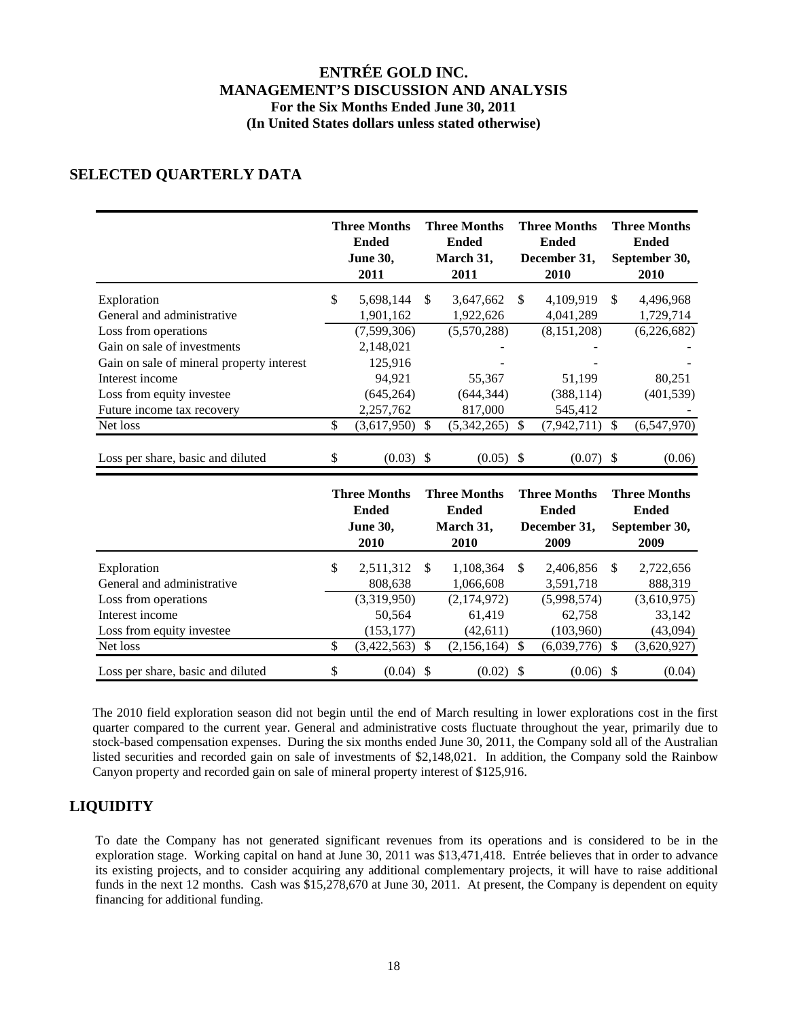# **SELECTED QUARTERLY DATA**

|                                           | <b>Three Months</b><br><b>Ended</b><br>June 30,<br>2011        |               | <b>Three Months</b><br><b>Ended</b><br>March 31,<br>2011 |                           | <b>Three Months</b><br><b>Ended</b><br>December 31,<br>2010 |              | <b>Three Months</b><br><b>Ended</b><br>September 30,<br>2010 |
|-------------------------------------------|----------------------------------------------------------------|---------------|----------------------------------------------------------|---------------------------|-------------------------------------------------------------|--------------|--------------------------------------------------------------|
| Exploration<br>General and administrative | \$<br>5,698,144<br>1,901,162                                   | \$            | 3,647,662<br>1,922,626                                   | \$                        | 4,109,919<br>4,041,289                                      | \$           | 4,496,968<br>1,729,714                                       |
| Loss from operations                      | (7,599,306)                                                    |               | (5,570,288)                                              |                           | (8, 151, 208)                                               |              | (6,226,682)                                                  |
| Gain on sale of investments               | 2,148,021                                                      |               |                                                          |                           |                                                             |              |                                                              |
| Gain on sale of mineral property interest | 125,916                                                        |               |                                                          |                           |                                                             |              |                                                              |
| Interest income                           | 94,921                                                         |               | 55,367                                                   |                           | 51,199                                                      |              | 80,251                                                       |
| Loss from equity investee                 | (645, 264)                                                     |               | (644, 344)                                               |                           | (388, 114)                                                  |              | (401, 539)                                                   |
| Future income tax recovery                | 2,257,762                                                      |               | 817,000                                                  |                           | 545,412                                                     |              |                                                              |
| Net loss                                  | \$<br>(3,617,950)                                              | $\mathcal{S}$ | (5,342,265)                                              | $\mathcal{S}$             | (7,942,711)                                                 | $\mathbb{S}$ | (6,547,970)                                                  |
| Loss per share, basic and diluted         | \$<br>$(0.03)$ \$                                              |               | $(0.05)$ \$                                              |                           | $(0.07)$ \$                                                 |              | (0.06)                                                       |
|                                           | <b>Three Months</b><br><b>Ended</b><br><b>June 30,</b><br>2010 |               | <b>Three Months</b><br><b>Ended</b><br>March 31,<br>2010 |                           | <b>Three Months</b><br><b>Ended</b><br>December 31,<br>2009 |              | <b>Three Months</b><br><b>Ended</b><br>September 30,<br>2009 |
| Exploration<br>General and administrative | \$<br>2,511,312<br>808,638                                     | \$            | 1,108,364<br>1,066,608                                   | $\mathbb{S}$              | 2,406,856<br>3,591,718                                      | \$           | 2,722,656<br>888,319                                         |
| Loss from operations                      | (3,319,950)                                                    |               | (2,174,972)                                              |                           | (5,998,574)                                                 |              | (3,610,975)                                                  |
| Interest income                           | 50,564                                                         |               | 61,419                                                   |                           | 62,758                                                      |              | 33,142                                                       |
| Loss from equity investee                 | (153, 177)                                                     |               | (42, 611)                                                |                           | (103,960)                                                   |              | (43,094)                                                     |
| Net loss                                  | \$<br>(3,422,563)                                              | $\mathcal{S}$ | (2,156,164)                                              | $\mathcal{S}$             | (6,039,776)                                                 | \$           | (3,620,927)                                                  |
| Loss per share, basic and diluted         | \$<br>$(0.04)$ \$                                              |               | (0.02)                                                   | $\boldsymbol{\mathsf{S}}$ | $(0.06)$ \$                                                 |              | (0.04)                                                       |

The 2010 field exploration season did not begin until the end of March resulting in lower explorations cost in the first quarter compared to the current year. General and administrative costs fluctuate throughout the year, primarily due to stock-based compensation expenses. During the six months ended June 30, 2011, the Company sold all of the Australian listed securities and recorded gain on sale of investments of \$2,148,021. In addition, the Company sold the Rainbow Canyon property and recorded gain on sale of mineral property interest of \$125,916.

# **LIQUIDITY**

To date the Company has not generated significant revenues from its operations and is considered to be in the exploration stage. Working capital on hand at June 30, 2011 was \$13,471,418. Entrée believes that in order to advance its existing projects, and to consider acquiring any additional complementary projects, it will have to raise additional funds in the next 12 months. Cash was \$15,278,670 at June 30, 2011. At present, the Company is dependent on equity financing for additional funding.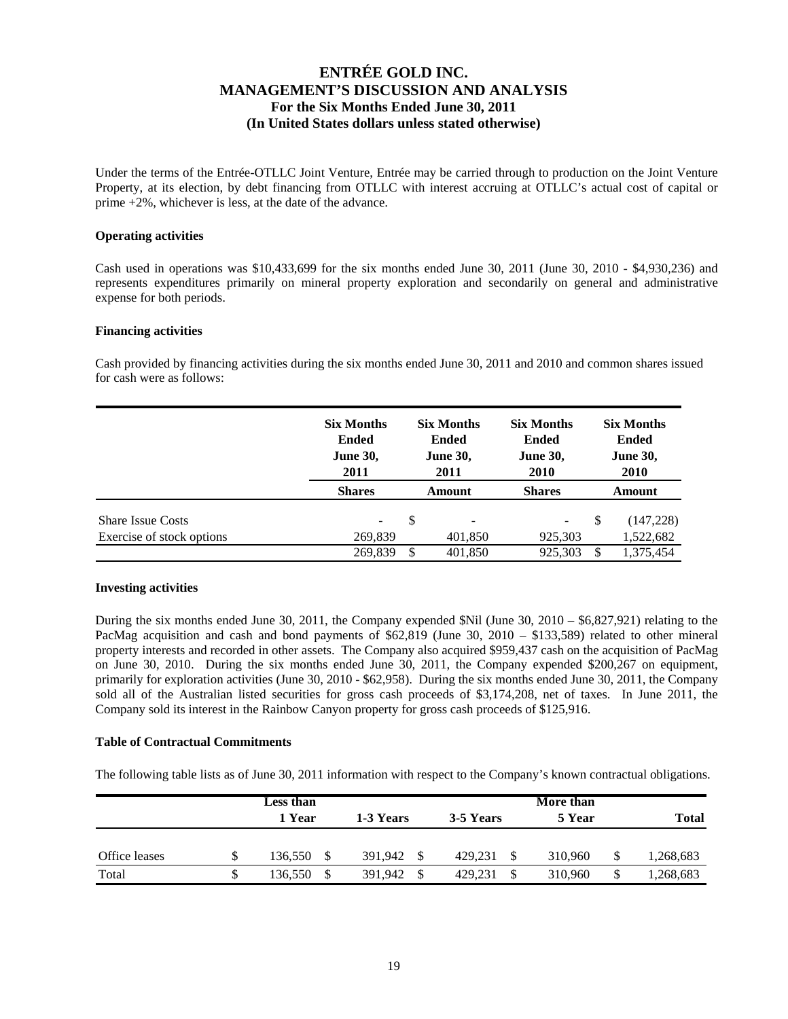Under the terms of the Entrée-OTLLC Joint Venture, Entrée may be carried through to production on the Joint Venture Property, at its election, by debt financing from OTLLC with interest accruing at OTLLC's actual cost of capital or prime +2%, whichever is less, at the date of the advance.

#### **Operating activities**

Cash used in operations was \$10,433,699 for the six months ended June 30, 2011 (June 30, 2010 - \$4,930,236) and represents expenditures primarily on mineral property exploration and secondarily on general and administrative expense for both periods.

#### **Financing activities**

Cash provided by financing activities during the six months ended June 30, 2011 and 2010 and common shares issued for cash were as follows:

|                           | <b>Six Months</b><br><b>Ended</b><br><b>June 30,</b><br>2011 |               | <b>Six Months</b><br><b>Ended</b><br><b>June 30,</b><br>2011 | <b>Six Months</b><br><b>Ended</b><br><b>June 30,</b><br><b>2010</b> |         |               | <b>Six Months</b><br><b>Ended</b><br><b>June 30,</b><br><b>2010</b> |
|---------------------------|--------------------------------------------------------------|---------------|--------------------------------------------------------------|---------------------------------------------------------------------|---------|---------------|---------------------------------------------------------------------|
|                           | <b>Shares</b>                                                |               | Amount                                                       | <b>Shares</b>                                                       |         |               | Amount                                                              |
| <b>Share Issue Costs</b>  | -                                                            | <sup>\$</sup> | $\overline{\phantom{a}}$                                     |                                                                     | -       | <sup>\$</sup> | (147, 228)                                                          |
| Exercise of stock options | 269,839                                                      |               | 401,850                                                      |                                                                     | 925,303 |               | 1,522,682                                                           |
|                           | 269,839                                                      | S             | 401,850                                                      |                                                                     | 925,303 | S             | 1,375,454                                                           |

### **Investing activities**

During the six months ended June 30, 2011, the Company expended \$Nil (June 30, 2010 – \$6,827,921) relating to the PacMag acquisition and cash and bond payments of \$62,819 (June 30, 2010 – \$133,589) related to other mineral property interests and recorded in other assets. The Company also acquired \$959,437 cash on the acquisition of PacMag on June 30, 2010. During the six months ended June 30, 2011, the Company expended \$200,267 on equipment, primarily for exploration activities (June 30, 2010 - \$62,958). During the six months ended June 30, 2011, the Company sold all of the Australian listed securities for gross cash proceeds of \$3,174,208, net of taxes. In June 2011, the Company sold its interest in the Rainbow Canyon property for gross cash proceeds of \$125,916.

### **Table of Contractual Commitments**

The following table lists as of June 30, 2011 information with respect to the Company's known contractual obligations.

|               | Less than    |              |           | <b>More than</b> |              |
|---------------|--------------|--------------|-----------|------------------|--------------|
|               | 1 Year       | 1-3 Years    | 3-5 Years | 5 Year           | <b>Total</b> |
| Office leases | S<br>136.550 | 391.942<br>S | 429.231   | 310.960<br>\$    | 1,268,683    |
| Total         | S<br>136,550 | 391.942<br>S | 429.231   | 310,960<br>\$    | 1,268,683    |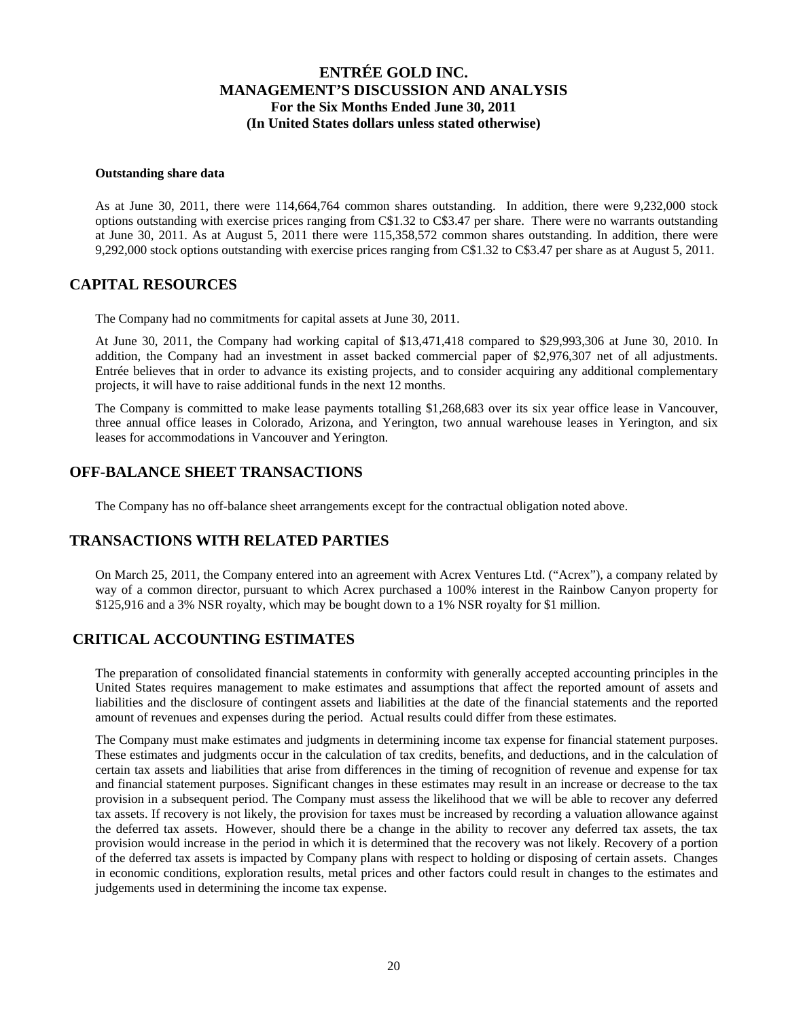#### **Outstanding share data**

As at June 30, 2011, there were 114,664,764 common shares outstanding. In addition, there were 9,232,000 stock options outstanding with exercise prices ranging from C\$1.32 to C\$3.47 per share. There were no warrants outstanding at June 30, 2011. As at August 5, 2011 there were 115,358,572 common shares outstanding. In addition, there were 9,292,000 stock options outstanding with exercise prices ranging from C\$1.32 to C\$3.47 per share as at August 5, 2011.

### **CAPITAL RESOURCES**

The Company had no commitments for capital assets at June 30, 2011.

At June 30, 2011, the Company had working capital of \$13,471,418 compared to \$29,993,306 at June 30, 2010. In addition, the Company had an investment in asset backed commercial paper of \$2,976,307 net of all adjustments. Entrée believes that in order to advance its existing projects, and to consider acquiring any additional complementary projects, it will have to raise additional funds in the next 12 months.

The Company is committed to make lease payments totalling \$1,268,683 over its six year office lease in Vancouver, three annual office leases in Colorado, Arizona, and Yerington, two annual warehouse leases in Yerington, and six leases for accommodations in Vancouver and Yerington.

### **OFF-BALANCE SHEET TRANSACTIONS**

The Company has no off-balance sheet arrangements except for the contractual obligation noted above.

### **TRANSACTIONS WITH RELATED PARTIES**

On March 25, 2011, the Company entered into an agreement with Acrex Ventures Ltd. ("Acrex"), a company related by way of a common director, pursuant to which Acrex purchased a 100% interest in the Rainbow Canyon property for \$125,916 and a 3% NSR royalty, which may be bought down to a 1% NSR royalty for \$1 million.

### **CRITICAL ACCOUNTING ESTIMATES**

The preparation of consolidated financial statements in conformity with generally accepted accounting principles in the United States requires management to make estimates and assumptions that affect the reported amount of assets and liabilities and the disclosure of contingent assets and liabilities at the date of the financial statements and the reported amount of revenues and expenses during the period. Actual results could differ from these estimates.

The Company must make estimates and judgments in determining income tax expense for financial statement purposes. These estimates and judgments occur in the calculation of tax credits, benefits, and deductions, and in the calculation of certain tax assets and liabilities that arise from differences in the timing of recognition of revenue and expense for tax and financial statement purposes. Significant changes in these estimates may result in an increase or decrease to the tax provision in a subsequent period. The Company must assess the likelihood that we will be able to recover any deferred tax assets. If recovery is not likely, the provision for taxes must be increased by recording a valuation allowance against the deferred tax assets. However, should there be a change in the ability to recover any deferred tax assets, the tax provision would increase in the period in which it is determined that the recovery was not likely. Recovery of a portion of the deferred tax assets is impacted by Company plans with respect to holding or disposing of certain assets. Changes in economic conditions, exploration results, metal prices and other factors could result in changes to the estimates and judgements used in determining the income tax expense.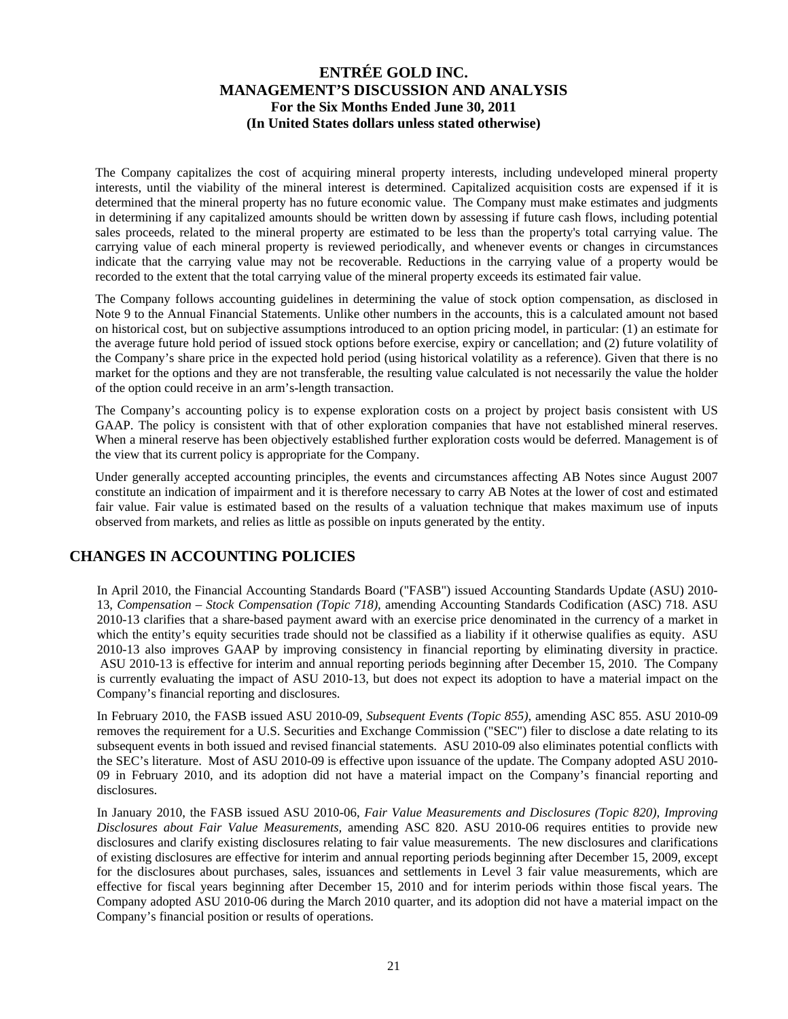The Company capitalizes the cost of acquiring mineral property interests, including undeveloped mineral property interests, until the viability of the mineral interest is determined. Capitalized acquisition costs are expensed if it is determined that the mineral property has no future economic value. The Company must make estimates and judgments in determining if any capitalized amounts should be written down by assessing if future cash flows, including potential sales proceeds, related to the mineral property are estimated to be less than the property's total carrying value. The carrying value of each mineral property is reviewed periodically, and whenever events or changes in circumstances indicate that the carrying value may not be recoverable. Reductions in the carrying value of a property would be recorded to the extent that the total carrying value of the mineral property exceeds its estimated fair value.

The Company follows accounting guidelines in determining the value of stock option compensation, as disclosed in Note 9 to the Annual Financial Statements. Unlike other numbers in the accounts, this is a calculated amount not based on historical cost, but on subjective assumptions introduced to an option pricing model, in particular: (1) an estimate for the average future hold period of issued stock options before exercise, expiry or cancellation; and (2) future volatility of the Company's share price in the expected hold period (using historical volatility as a reference). Given that there is no market for the options and they are not transferable, the resulting value calculated is not necessarily the value the holder of the option could receive in an arm's-length transaction.

The Company's accounting policy is to expense exploration costs on a project by project basis consistent with US GAAP. The policy is consistent with that of other exploration companies that have not established mineral reserves. When a mineral reserve has been objectively established further exploration costs would be deferred. Management is of the view that its current policy is appropriate for the Company.

Under generally accepted accounting principles, the events and circumstances affecting AB Notes since August 2007 constitute an indication of impairment and it is therefore necessary to carry AB Notes at the lower of cost and estimated fair value. Fair value is estimated based on the results of a valuation technique that makes maximum use of inputs observed from markets, and relies as little as possible on inputs generated by the entity.

## **CHANGES IN ACCOUNTING POLICIES**

In April 2010, the Financial Accounting Standards Board ("FASB") issued Accounting Standards Update (ASU) 2010- 13, *Compensation – Stock Compensation (Topic 718),* amending Accounting Standards Codification (ASC) 718. ASU 2010-13 clarifies that a share-based payment award with an exercise price denominated in the currency of a market in which the entity's equity securities trade should not be classified as a liability if it otherwise qualifies as equity. ASU 2010-13 also improves GAAP by improving consistency in financial reporting by eliminating diversity in practice. ASU 2010-13 is effective for interim and annual reporting periods beginning after December 15, 2010. The Company is currently evaluating the impact of ASU 2010-13, but does not expect its adoption to have a material impact on the Company's financial reporting and disclosures.

In February 2010, the FASB issued ASU 2010-09, *Subsequent Events (Topic 855),* amending ASC 855. ASU 2010-09 removes the requirement for a U.S. Securities and Exchange Commission ("SEC") filer to disclose a date relating to its subsequent events in both issued and revised financial statements. ASU 2010-09 also eliminates potential conflicts with the SEC's literature. Most of ASU 2010-09 is effective upon issuance of the update. The Company adopted ASU 2010- 09 in February 2010, and its adoption did not have a material impact on the Company's financial reporting and disclosures.

In January 2010, the FASB issued ASU 2010-06, *Fair Value Measurements and Disclosures (Topic 820), Improving Disclosures about Fair Value Measurements,* amending ASC 820. ASU 2010-06 requires entities to provide new disclosures and clarify existing disclosures relating to fair value measurements. The new disclosures and clarifications of existing disclosures are effective for interim and annual reporting periods beginning after December 15, 2009, except for the disclosures about purchases, sales, issuances and settlements in Level 3 fair value measurements, which are effective for fiscal years beginning after December 15, 2010 and for interim periods within those fiscal years. The Company adopted ASU 2010-06 during the March 2010 quarter, and its adoption did not have a material impact on the Company's financial position or results of operations.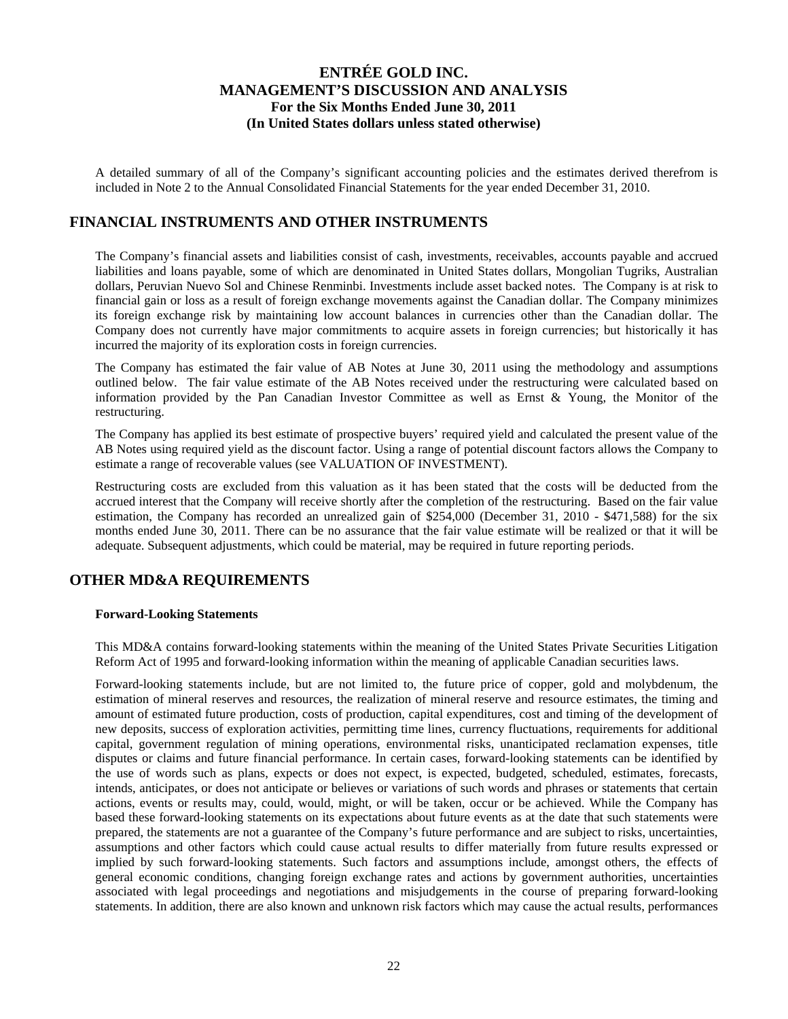A detailed summary of all of the Company's significant accounting policies and the estimates derived therefrom is included in Note 2 to the Annual Consolidated Financial Statements for the year ended December 31, 2010.

## **FINANCIAL INSTRUMENTS AND OTHER INSTRUMENTS**

The Company's financial assets and liabilities consist of cash, investments, receivables, accounts payable and accrued liabilities and loans payable, some of which are denominated in United States dollars, Mongolian Tugriks, Australian dollars, Peruvian Nuevo Sol and Chinese Renminbi. Investments include asset backed notes. The Company is at risk to financial gain or loss as a result of foreign exchange movements against the Canadian dollar. The Company minimizes its foreign exchange risk by maintaining low account balances in currencies other than the Canadian dollar. The Company does not currently have major commitments to acquire assets in foreign currencies; but historically it has incurred the majority of its exploration costs in foreign currencies.

The Company has estimated the fair value of AB Notes at June 30, 2011 using the methodology and assumptions outlined below. The fair value estimate of the AB Notes received under the restructuring were calculated based on information provided by the Pan Canadian Investor Committee as well as Ernst & Young, the Monitor of the restructuring.

The Company has applied its best estimate of prospective buyers' required yield and calculated the present value of the AB Notes using required yield as the discount factor. Using a range of potential discount factors allows the Company to estimate a range of recoverable values (see VALUATION OF INVESTMENT).

Restructuring costs are excluded from this valuation as it has been stated that the costs will be deducted from the accrued interest that the Company will receive shortly after the completion of the restructuring. Based on the fair value estimation, the Company has recorded an unrealized gain of \$254,000 (December 31, 2010 - \$471,588) for the six months ended June 30, 2011. There can be no assurance that the fair value estimate will be realized or that it will be adequate. Subsequent adjustments, which could be material, may be required in future reporting periods.

## **OTHER MD&A REQUIREMENTS**

#### **Forward-Looking Statements**

This MD&A contains forward-looking statements within the meaning of the United States Private Securities Litigation Reform Act of 1995 and forward-looking information within the meaning of applicable Canadian securities laws.

Forward-looking statements include, but are not limited to, the future price of copper, gold and molybdenum, the estimation of mineral reserves and resources, the realization of mineral reserve and resource estimates, the timing and amount of estimated future production, costs of production, capital expenditures, cost and timing of the development of new deposits, success of exploration activities, permitting time lines, currency fluctuations, requirements for additional capital, government regulation of mining operations, environmental risks, unanticipated reclamation expenses, title disputes or claims and future financial performance. In certain cases, forward-looking statements can be identified by the use of words such as plans, expects or does not expect, is expected, budgeted, scheduled, estimates, forecasts, intends, anticipates, or does not anticipate or believes or variations of such words and phrases or statements that certain actions, events or results may, could, would, might, or will be taken, occur or be achieved. While the Company has based these forward-looking statements on its expectations about future events as at the date that such statements were prepared, the statements are not a guarantee of the Company's future performance and are subject to risks, uncertainties, assumptions and other factors which could cause actual results to differ materially from future results expressed or implied by such forward-looking statements. Such factors and assumptions include, amongst others, the effects of general economic conditions, changing foreign exchange rates and actions by government authorities, uncertainties associated with legal proceedings and negotiations and misjudgements in the course of preparing forward-looking statements. In addition, there are also known and unknown risk factors which may cause the actual results, performances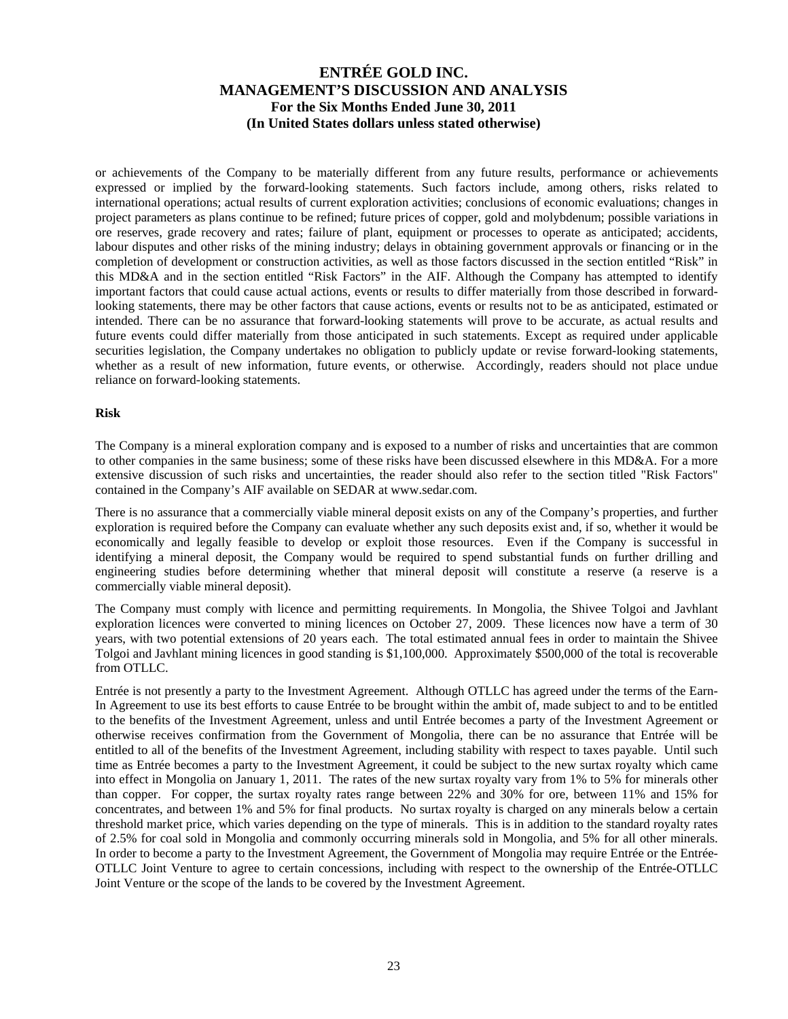or achievements of the Company to be materially different from any future results, performance or achievements expressed or implied by the forward-looking statements. Such factors include, among others, risks related to international operations; actual results of current exploration activities; conclusions of economic evaluations; changes in project parameters as plans continue to be refined; future prices of copper, gold and molybdenum; possible variations in ore reserves, grade recovery and rates; failure of plant, equipment or processes to operate as anticipated; accidents, labour disputes and other risks of the mining industry; delays in obtaining government approvals or financing or in the completion of development or construction activities, as well as those factors discussed in the section entitled "Risk" in this MD&A and in the section entitled "Risk Factors" in the AIF. Although the Company has attempted to identify important factors that could cause actual actions, events or results to differ materially from those described in forwardlooking statements, there may be other factors that cause actions, events or results not to be as anticipated, estimated or intended. There can be no assurance that forward-looking statements will prove to be accurate, as actual results and future events could differ materially from those anticipated in such statements. Except as required under applicable securities legislation, the Company undertakes no obligation to publicly update or revise forward-looking statements, whether as a result of new information, future events, or otherwise. Accordingly, readers should not place undue reliance on forward-looking statements.

#### **Risk**

The Company is a mineral exploration company and is exposed to a number of risks and uncertainties that are common to other companies in the same business; some of these risks have been discussed elsewhere in this MD&A. For a more extensive discussion of such risks and uncertainties, the reader should also refer to the section titled "Risk Factors" contained in the Company's AIF available on SEDAR at www.sedar.com.

There is no assurance that a commercially viable mineral deposit exists on any of the Company's properties, and further exploration is required before the Company can evaluate whether any such deposits exist and, if so, whether it would be economically and legally feasible to develop or exploit those resources. Even if the Company is successful in identifying a mineral deposit, the Company would be required to spend substantial funds on further drilling and engineering studies before determining whether that mineral deposit will constitute a reserve (a reserve is a commercially viable mineral deposit).

The Company must comply with licence and permitting requirements. In Mongolia, the Shivee Tolgoi and Javhlant exploration licences were converted to mining licences on October 27, 2009. These licences now have a term of 30 years, with two potential extensions of 20 years each. The total estimated annual fees in order to maintain the Shivee Tolgoi and Javhlant mining licences in good standing is \$1,100,000. Approximately \$500,000 of the total is recoverable from OTLLC.

Entrée is not presently a party to the Investment Agreement. Although OTLLC has agreed under the terms of the Earn-In Agreement to use its best efforts to cause Entrée to be brought within the ambit of, made subject to and to be entitled to the benefits of the Investment Agreement, unless and until Entrée becomes a party of the Investment Agreement or otherwise receives confirmation from the Government of Mongolia, there can be no assurance that Entrée will be entitled to all of the benefits of the Investment Agreement, including stability with respect to taxes payable. Until such time as Entrée becomes a party to the Investment Agreement, it could be subject to the new surtax royalty which came into effect in Mongolia on January 1, 2011. The rates of the new surtax royalty vary from 1% to 5% for minerals other than copper. For copper, the surtax royalty rates range between 22% and 30% for ore, between 11% and 15% for concentrates, and between 1% and 5% for final products. No surtax royalty is charged on any minerals below a certain threshold market price, which varies depending on the type of minerals. This is in addition to the standard royalty rates of 2.5% for coal sold in Mongolia and commonly occurring minerals sold in Mongolia, and 5% for all other minerals. In order to become a party to the Investment Agreement, the Government of Mongolia may require Entrée or the Entrée-OTLLC Joint Venture to agree to certain concessions, including with respect to the ownership of the Entrée-OTLLC Joint Venture or the scope of the lands to be covered by the Investment Agreement.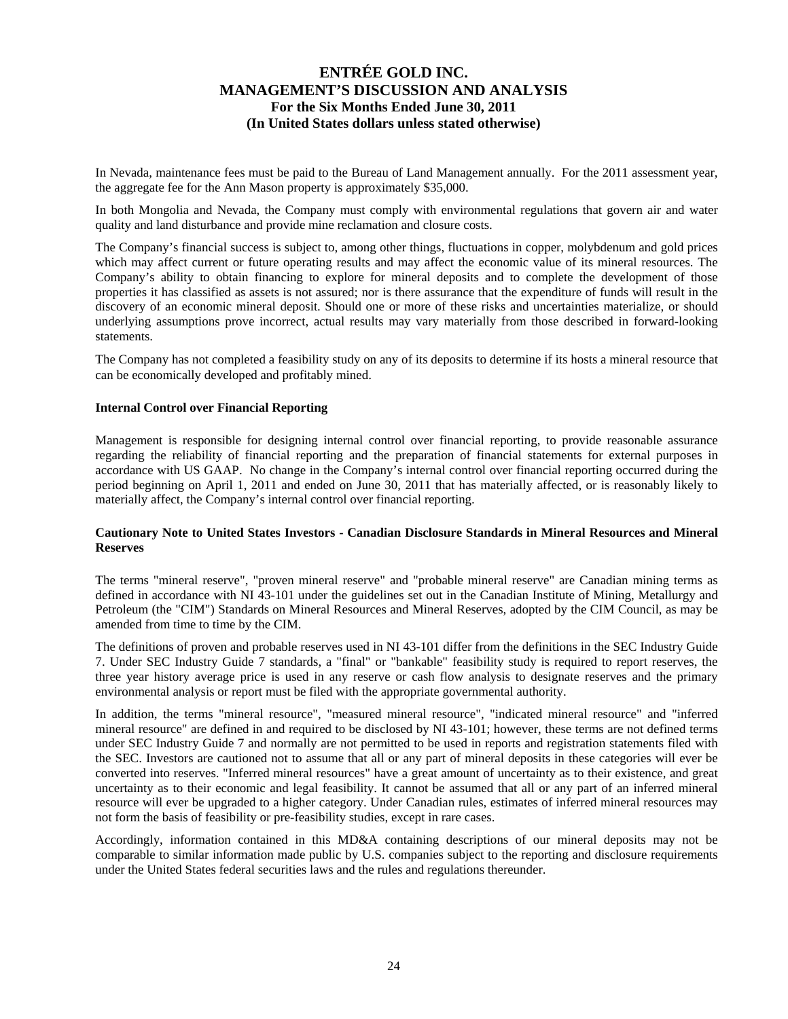In Nevada, maintenance fees must be paid to the Bureau of Land Management annually. For the 2011 assessment year, the aggregate fee for the Ann Mason property is approximately \$35,000.

In both Mongolia and Nevada, the Company must comply with environmental regulations that govern air and water quality and land disturbance and provide mine reclamation and closure costs.

The Company's financial success is subject to, among other things, fluctuations in copper, molybdenum and gold prices which may affect current or future operating results and may affect the economic value of its mineral resources. The Company's ability to obtain financing to explore for mineral deposits and to complete the development of those properties it has classified as assets is not assured; nor is there assurance that the expenditure of funds will result in the discovery of an economic mineral deposit. Should one or more of these risks and uncertainties materialize, or should underlying assumptions prove incorrect, actual results may vary materially from those described in forward-looking statements.

The Company has not completed a feasibility study on any of its deposits to determine if its hosts a mineral resource that can be economically developed and profitably mined.

#### **Internal Control over Financial Reporting**

Management is responsible for designing internal control over financial reporting, to provide reasonable assurance regarding the reliability of financial reporting and the preparation of financial statements for external purposes in accordance with US GAAP. No change in the Company's internal control over financial reporting occurred during the period beginning on April 1, 2011 and ended on June 30, 2011 that has materially affected, or is reasonably likely to materially affect, the Company's internal control over financial reporting.

### **Cautionary Note to United States Investors - Canadian Disclosure Standards in Mineral Resources and Mineral Reserves**

The terms "mineral reserve", "proven mineral reserve" and "probable mineral reserve" are Canadian mining terms as defined in accordance with NI 43-101 under the guidelines set out in the Canadian Institute of Mining, Metallurgy and Petroleum (the "CIM") Standards on Mineral Resources and Mineral Reserves, adopted by the CIM Council, as may be amended from time to time by the CIM.

The definitions of proven and probable reserves used in NI 43-101 differ from the definitions in the SEC Industry Guide 7. Under SEC Industry Guide 7 standards, a "final" or "bankable" feasibility study is required to report reserves, the three year history average price is used in any reserve or cash flow analysis to designate reserves and the primary environmental analysis or report must be filed with the appropriate governmental authority.

In addition, the terms "mineral resource", "measured mineral resource", "indicated mineral resource" and "inferred mineral resource" are defined in and required to be disclosed by NI 43-101; however, these terms are not defined terms under SEC Industry Guide 7 and normally are not permitted to be used in reports and registration statements filed with the SEC. Investors are cautioned not to assume that all or any part of mineral deposits in these categories will ever be converted into reserves. "Inferred mineral resources" have a great amount of uncertainty as to their existence, and great uncertainty as to their economic and legal feasibility. It cannot be assumed that all or any part of an inferred mineral resource will ever be upgraded to a higher category. Under Canadian rules, estimates of inferred mineral resources may not form the basis of feasibility or pre-feasibility studies, except in rare cases.

Accordingly, information contained in this MD&A containing descriptions of our mineral deposits may not be comparable to similar information made public by U.S. companies subject to the reporting and disclosure requirements under the United States federal securities laws and the rules and regulations thereunder.